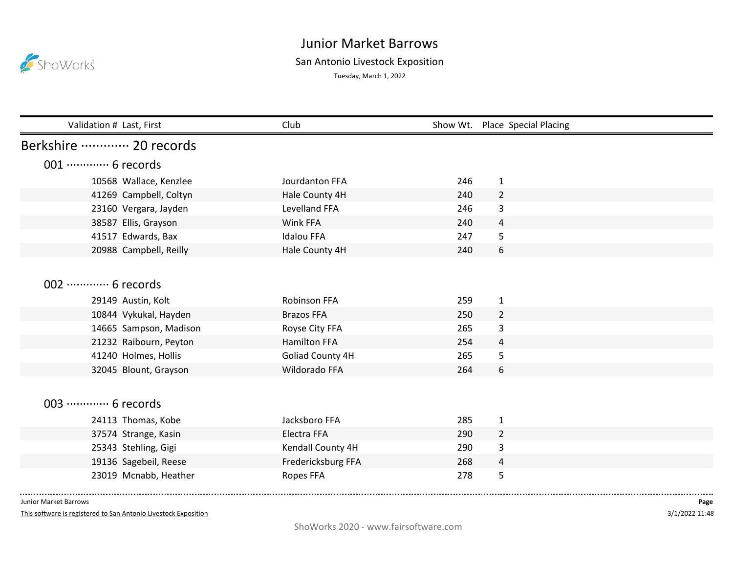## San Antonio Livestock Exposition

Tuesday, March 1, 2022

| Validation # Last, First    | Club                    |     | Show Wt. Place Special Placing |
|-----------------------------|-------------------------|-----|--------------------------------|
| Berkshire ………… 20 records   |                         |     |                                |
| 001 ············· 6 records |                         |     |                                |
| 10568 Wallace, Kenzlee      | Jourdanton FFA          | 246 | $\mathbf{1}$                   |
| 41269 Campbell, Coltyn      | Hale County 4H          | 240 | $\overline{2}$                 |
| 23160 Vergara, Jayden       | Levelland FFA           | 246 | 3                              |
| 38587 Ellis, Grayson        | Wink FFA                | 240 | 4                              |
| 41517 Edwards, Bax          | <b>Idalou FFA</b>       | 247 | 5                              |
| 20988 Campbell, Reilly      | Hale County 4H          | 240 | 6                              |
|                             |                         |     |                                |
| 002 ············· 6 records |                         |     |                                |
| 29149 Austin, Kolt          | Robinson FFA            | 259 | $\mathbf 1$                    |
| 10844 Vykukal, Hayden       | <b>Brazos FFA</b>       | 250 | $\overline{2}$                 |
| 14665 Sampson, Madison      | Royse City FFA          | 265 | 3                              |
| 21232 Raibourn, Peyton      | <b>Hamilton FFA</b>     | 254 | 4                              |
| 41240 Holmes, Hollis        | <b>Goliad County 4H</b> | 265 | 5                              |
| 32045 Blount, Grayson       | Wildorado FFA           | 264 | 6                              |
|                             |                         |     |                                |
|                             |                         |     |                                |
| 003 ············· 6 records |                         |     |                                |
| 24113 Thomas, Kobe          | Jacksboro FFA           | 285 | $\mathbf{1}$                   |
| 37574 Strange, Kasin        | Electra FFA             | 290 | $\overline{2}$                 |
| 25343 Stehling, Gigi        | Kendall County 4H       | 290 | 3                              |
| 19136 Sagebeil, Reese       | Fredericksburg FFA      | 268 | $\overline{4}$                 |
| 23019 Mcnabb, Heather       | Ropes FFA               | 278 | 5                              |
|                             |                         |     |                                |

Junior Market Barrows

This software is registered to San Antonio Livestock Exposition

3/1/2022 11:48

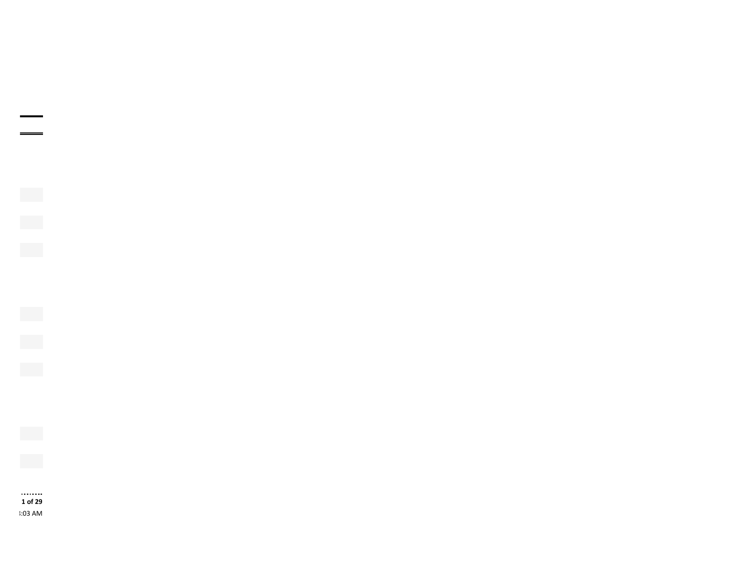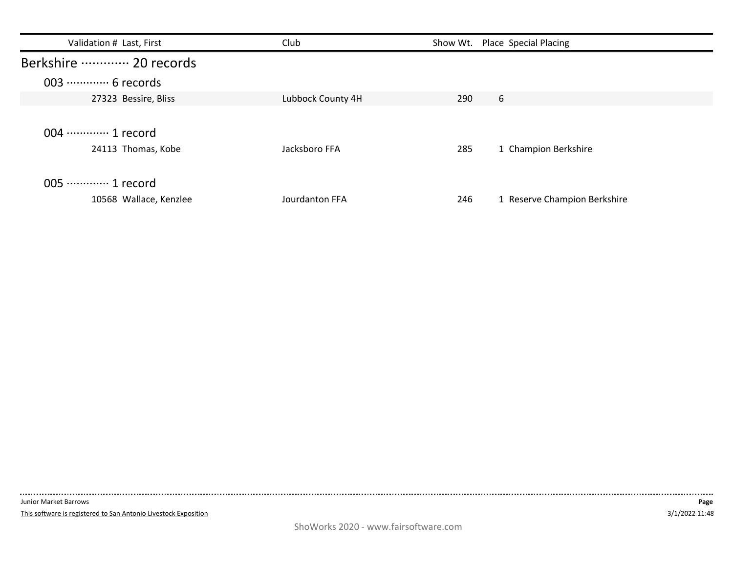| Validation # Last, First     | Club              |     | Show Wt. Place Special Placing |
|------------------------------|-------------------|-----|--------------------------------|
| Berkshire ………… 20 records    |                   |     |                                |
| 003 ·············· 6 records |                   |     |                                |
| 27323 Bessire, Bliss         | Lubbock County 4H | 290 | 6                              |
|                              |                   |     |                                |
| 004 ………… 1 record            |                   |     |                                |
| 24113 Thomas, Kobe           | Jacksboro FFA     | 285 | 1 Champion Berkshire           |
|                              |                   |     |                                |
| 005 ·············· 1 record  |                   |     |                                |
| 10568 Wallace, Kenzlee       | Jourdanton FFA    | 246 | 1 Reserve Champion Berkshire   |

----------------------------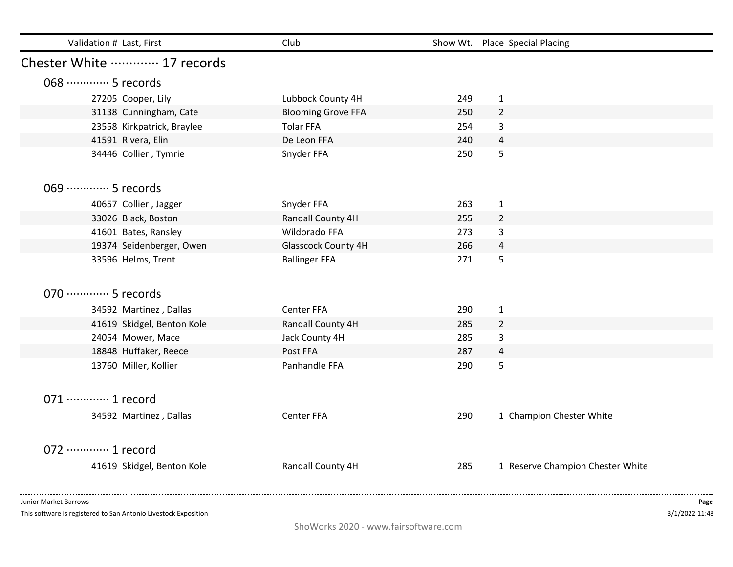| Validation # Last, First     | Club                       |     | Show Wt. Place Special Placing   |
|------------------------------|----------------------------|-----|----------------------------------|
| Chester White  17 records    |                            |     |                                  |
| 068 ·············· 5 records |                            |     |                                  |
| 27205 Cooper, Lily           | Lubbock County 4H          | 249 | $\mathbf{1}$                     |
| 31138 Cunningham, Cate       | <b>Blooming Grove FFA</b>  | 250 | $\overline{2}$                   |
| 23558 Kirkpatrick, Braylee   | <b>Tolar FFA</b>           | 254 | 3                                |
| 41591 Rivera, Elin           | De Leon FFA                | 240 | 4                                |
| 34446 Collier, Tymrie        | Snyder FFA                 | 250 | 5                                |
| 069 ············· 5 records  |                            |     |                                  |
| 40657 Collier, Jagger        | Snyder FFA                 | 263 | $\mathbf{1}$                     |
| 33026 Black, Boston          | Randall County 4H          | 255 | $\overline{2}$                   |
| 41601 Bates, Ransley         | Wildorado FFA              | 273 | 3                                |
| 19374 Seidenberger, Owen     | <b>Glasscock County 4H</b> | 266 | 4                                |
| 33596 Helms, Trent           | <b>Ballinger FFA</b>       | 271 | 5                                |
| 070 ·············· 5 records |                            |     |                                  |
| 34592 Martinez, Dallas       | Center FFA                 | 290 | $\mathbf{1}$                     |
| 41619 Skidgel, Benton Kole   | Randall County 4H          | 285 | $\overline{2}$                   |
| 24054 Mower, Mace            | Jack County 4H             | 285 | 3                                |
| 18848 Huffaker, Reece        | Post FFA                   | 287 | 4                                |
| 13760 Miller, Kollier        | Panhandle FFA              | 290 | 5                                |
| 071 ············· 1 record   |                            |     |                                  |
| 34592 Martinez, Dallas       | Center FFA                 | 290 | 1 Champion Chester White         |
| 072 ············· 1 record   |                            |     |                                  |
| 41619 Skidgel, Benton Kole   | Randall County 4H          | 285 | 1 Reserve Champion Chester White |
|                              |                            |     |                                  |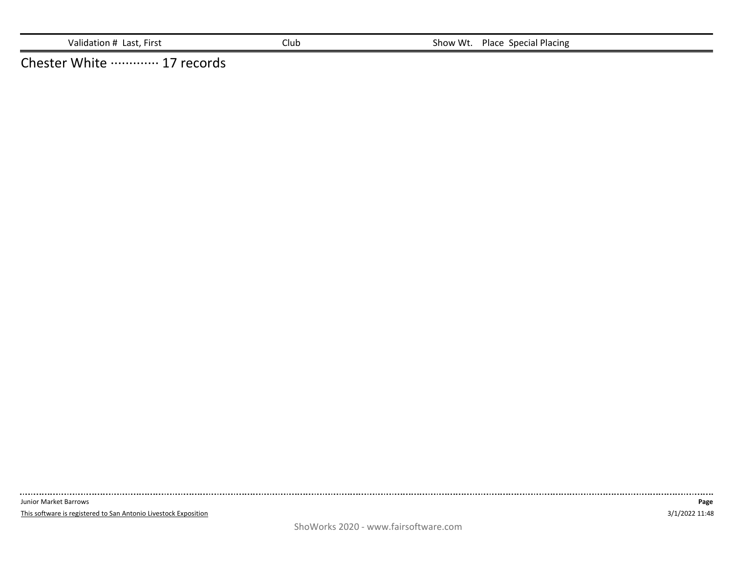| Կrsա<br>ldation.<br>ادە۔ | Club | ∍h∩w Wt∶<br>place<br>. Placing<br>Special |
|--------------------------|------|-------------------------------------------|
|                          |      |                                           |

Chester White ·············· 17 records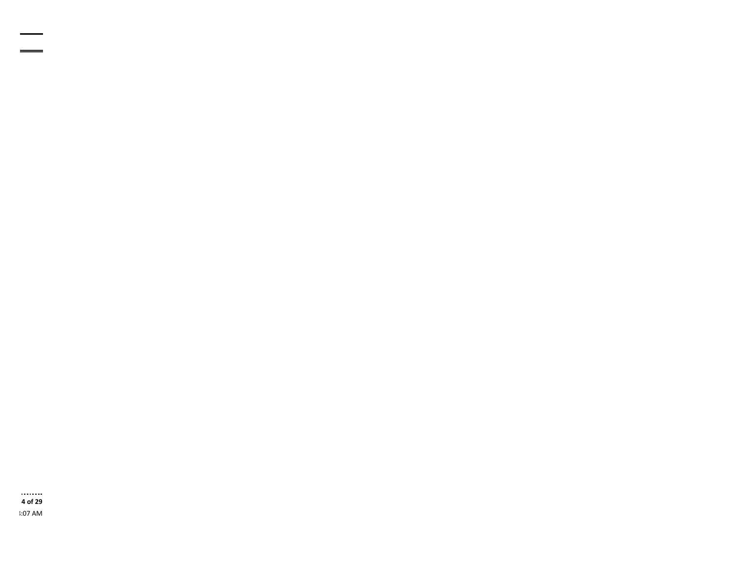$\sim$  . . . . . . . **Page 4 of 29**  $1:07$  AM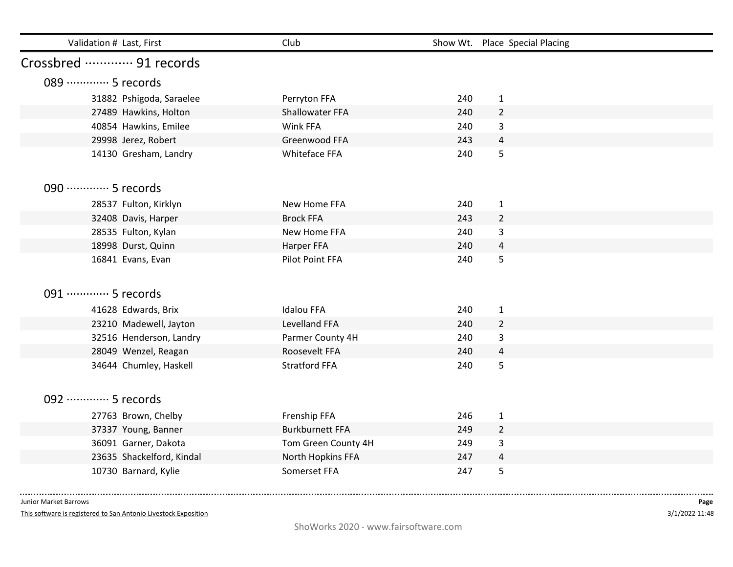| Validation # Last, First     | Club                   |     | Show Wt. Place Special Placing |
|------------------------------|------------------------|-----|--------------------------------|
| Crossbred  91 records        |                        |     |                                |
| 089 ·············· 5 records |                        |     |                                |
| 31882 Pshigoda, Saraelee     | Perryton FFA           | 240 | $\mathbf{1}$                   |
| 27489 Hawkins, Holton        | Shallowater FFA        | 240 | $\overline{2}$                 |
| 40854 Hawkins, Emilee        | Wink FFA               | 240 | 3                              |
| 29998 Jerez, Robert          | Greenwood FFA          | 243 | $\overline{4}$                 |
| 14130 Gresham, Landry        | Whiteface FFA          | 240 | 5                              |
| 090 ············· 5 records  |                        |     |                                |
| 28537 Fulton, Kirklyn        | New Home FFA           | 240 | $\mathbf{1}$                   |
| 32408 Davis, Harper          | <b>Brock FFA</b>       | 243 | $\overline{2}$                 |
| 28535 Fulton, Kylan          | New Home FFA           | 240 | 3                              |
| 18998 Durst, Quinn           | Harper FFA             | 240 | 4                              |
| 16841 Evans, Evan            | Pilot Point FFA        | 240 | 5                              |
| 091 ············· 5 records  |                        |     |                                |
| 41628 Edwards, Brix          | <b>Idalou FFA</b>      | 240 | $\mathbf{1}$                   |
| 23210 Madewell, Jayton       | Levelland FFA          | 240 | $\overline{2}$                 |
| 32516 Henderson, Landry      | Parmer County 4H       | 240 | 3                              |
| 28049 Wenzel, Reagan         | Roosevelt FFA          | 240 | $\overline{a}$                 |
| 34644 Chumley, Haskell       | <b>Stratford FFA</b>   | 240 | 5                              |
|                              |                        |     |                                |
| 092 ·············· 5 records |                        |     |                                |
| 27763 Brown, Chelby          | Frenship FFA           | 246 | $\mathbf{1}$                   |
| 37337 Young, Banner          | <b>Burkburnett FFA</b> | 249 | $\overline{2}$                 |
| 36091 Garner, Dakota         | Tom Green County 4H    | 249 | 3                              |
| 23635 Shackelford, Kindal    | North Hopkins FFA      | 247 | 4                              |
| 10730 Barnard, Kylie         | Somerset FFA           | 247 | 5                              |

. . . . . . . . . . . . . . . . . . .

 $\sim 100$  and  $\sim 100$ 

This software is registered to San Antonio Livestock Exposition

----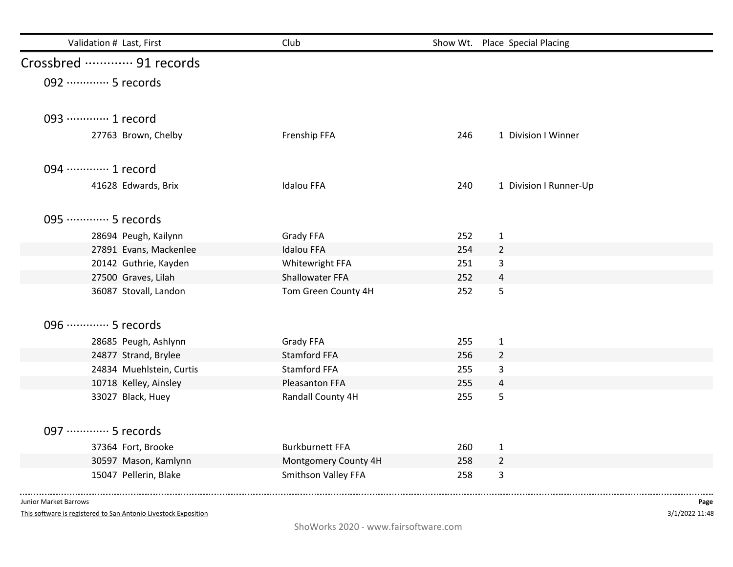| Validation # Last, First     | Club                   |     | Show Wt. Place Special Placing |  |
|------------------------------|------------------------|-----|--------------------------------|--|
| Crossbred  91 records        |                        |     |                                |  |
| 092 ·············· 5 records |                        |     |                                |  |
|                              |                        |     |                                |  |
| 093 ………… 1 record            |                        |     |                                |  |
| 27763 Brown, Chelby          | Frenship FFA           | 246 | 1 Division I Winner            |  |
| 094 ………… 1 record            |                        |     |                                |  |
| 41628 Edwards, Brix          | <b>Idalou FFA</b>      | 240 | 1 Division I Runner-Up         |  |
| 095 ·············· 5 records |                        |     |                                |  |
| 28694 Peugh, Kailynn         | Grady FFA              | 252 | $\mathbf{1}$                   |  |
| 27891 Evans, Mackenlee       | <b>Idalou FFA</b>      | 254 | $\overline{2}$                 |  |
| 20142 Guthrie, Kayden        | Whitewright FFA        | 251 | 3                              |  |
| 27500 Graves, Lilah          | Shallowater FFA        | 252 | 4                              |  |
| 36087 Stovall, Landon        | Tom Green County 4H    | 252 | 5                              |  |
|                              |                        |     |                                |  |
| 096 ·············· 5 records |                        |     |                                |  |
| 28685 Peugh, Ashlynn         | Grady FFA              | 255 | $\mathbf{1}$                   |  |
| 24877 Strand, Brylee         | Stamford FFA           | 256 | $\overline{2}$                 |  |
| 24834 Muehlstein, Curtis     | Stamford FFA           | 255 | 3                              |  |
| 10718 Kelley, Ainsley        | Pleasanton FFA         | 255 | 4                              |  |
| 33027 Black, Huey            | Randall County 4H      | 255 | 5                              |  |
|                              |                        |     |                                |  |
| 097 ·············· 5 records |                        |     |                                |  |
| 37364 Fort, Brooke           | <b>Burkburnett FFA</b> | 260 | $\mathbf{1}$                   |  |
| 30597 Mason, Kamlynn         | Montgomery County 4H   | 258 | $\overline{a}$                 |  |
| 15047 Pellerin, Blake        | Smithson Valley FFA    | 258 | 3                              |  |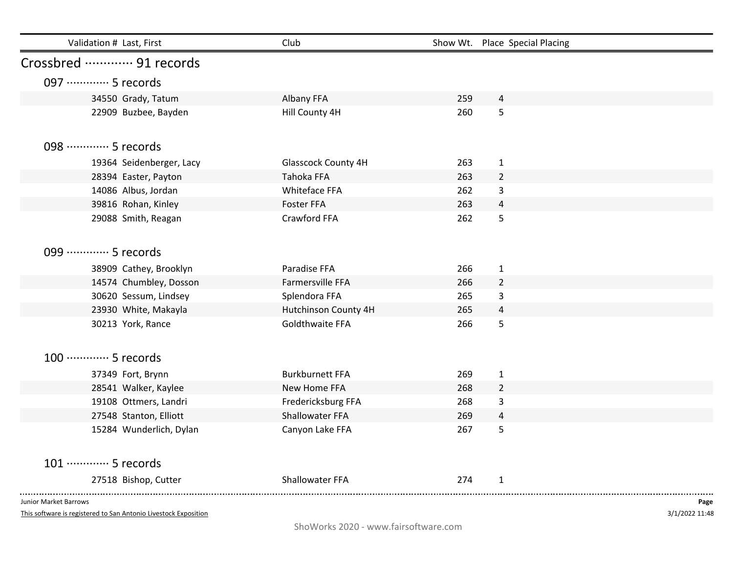| Validation # Last, First                                                                 | Club                       |     | Show Wt. Place Special Placing |                        |
|------------------------------------------------------------------------------------------|----------------------------|-----|--------------------------------|------------------------|
| Crossbred  91 records                                                                    |                            |     |                                |                        |
| 097 ············· 5 records                                                              |                            |     |                                |                        |
| 34550 Grady, Tatum                                                                       | Albany FFA                 | 259 | $\overline{4}$                 |                        |
| 22909 Buzbee, Bayden                                                                     | Hill County 4H             | 260 | 5                              |                        |
| 098 ………… 5 records                                                                       |                            |     |                                |                        |
| 19364 Seidenberger, Lacy                                                                 | <b>Glasscock County 4H</b> | 263 | $\mathbf{1}$                   |                        |
| 28394 Easter, Payton                                                                     | Tahoka FFA                 | 263 | $\overline{2}$                 |                        |
| 14086 Albus, Jordan                                                                      | Whiteface FFA              | 262 | 3                              |                        |
| 39816 Rohan, Kinley                                                                      | <b>Foster FFA</b>          | 263 | 4                              |                        |
| 29088 Smith, Reagan                                                                      | Crawford FFA               | 262 | 5                              |                        |
| 099 ············· 5 records                                                              |                            |     |                                |                        |
| 38909 Cathey, Brooklyn                                                                   | Paradise FFA               | 266 | $\mathbf{1}$                   |                        |
| 14574 Chumbley, Dosson                                                                   | Farmersville FFA           | 266 | $\overline{2}$                 |                        |
| 30620 Sessum, Lindsey                                                                    | Splendora FFA              | 265 | 3                              |                        |
| 23930 White, Makayla                                                                     | Hutchinson County 4H       | 265 | 4                              |                        |
| 30213 York, Rance                                                                        | Goldthwaite FFA            | 266 | 5                              |                        |
| 100 ·············· 5 records                                                             |                            |     |                                |                        |
| 37349 Fort, Brynn                                                                        | <b>Burkburnett FFA</b>     | 269 | $\mathbf{1}$                   |                        |
| 28541 Walker, Kaylee                                                                     | New Home FFA               | 268 | $\overline{2}$                 |                        |
| 19108 Ottmers, Landri                                                                    | Fredericksburg FFA         | 268 | 3                              |                        |
| 27548 Stanton, Elliott                                                                   | Shallowater FFA            | 269 | 4                              |                        |
| 15284 Wunderlich, Dylan                                                                  | Canyon Lake FFA            | 267 | 5                              |                        |
| 101 ············· 5 records                                                              |                            |     |                                |                        |
| 27518 Bishop, Cutter                                                                     | <b>Shallowater FFA</b>     | 274 | 1                              |                        |
| Junior Market Barrows<br>This software is registered to San Antonio Livestock Exposition |                            |     |                                | Page<br>3/1/2022 11:48 |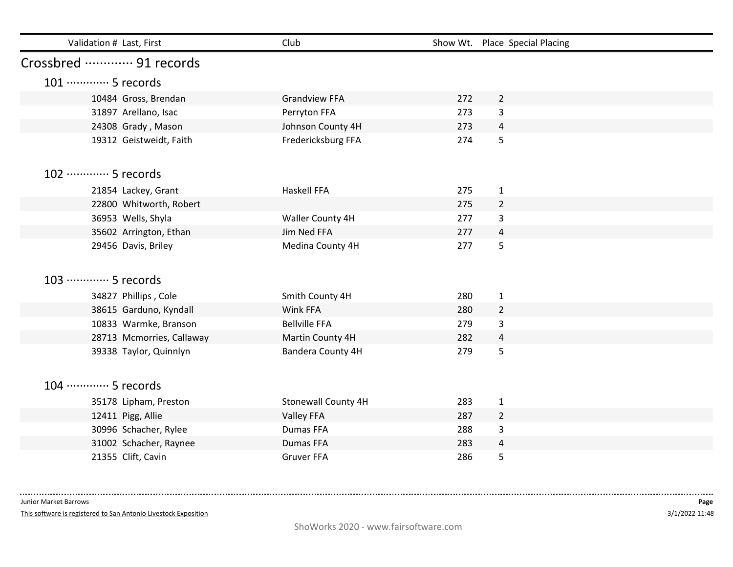| Validation # Last, First     | Club                 |     | Show Wt. Place Special Placing |
|------------------------------|----------------------|-----|--------------------------------|
| Crossbred  91 records        |                      |     |                                |
| 101 ·············· 5 records |                      |     |                                |
| 10484 Gross, Brendan         | <b>Grandview FFA</b> | 272 | $\overline{2}$                 |
| 31897 Arellano, Isac         | Perryton FFA         | 273 | 3                              |
| 24308 Grady, Mason           | Johnson County 4H    | 273 | 4                              |
| 19312 Geistweidt, Faith      | Fredericksburg FFA   | 274 | 5                              |
| 102 ············· 5 records  |                      |     |                                |
| 21854 Lackey, Grant          | Haskell FFA          | 275 | $\mathbf{1}$                   |
| 22800 Whitworth, Robert      |                      | 275 | $\overline{2}$                 |
| 36953 Wells, Shyla           | Waller County 4H     | 277 | 3                              |
| 35602 Arrington, Ethan       | Jim Ned FFA          | 277 | 4                              |
| 29456 Davis, Briley          | Medina County 4H     | 277 | 5                              |
| 103 ·············· 5 records |                      |     |                                |
| 34827 Phillips, Cole         | Smith County 4H      | 280 | $\mathbf{1}$                   |
| 38615 Garduno, Kyndall       | Wink FFA             | 280 | $\overline{2}$                 |
| 10833 Warmke, Branson        | <b>Bellville FFA</b> | 279 | 3                              |
| 28713 Mcmorries, Callaway    | Martin County 4H     | 282 | 4                              |
| 39338 Taylor, Quinnlyn       | Bandera County 4H    | 279 | 5                              |
| 104 ………… 5 records           |                      |     |                                |
| 35178 Lipham, Preston        | Stonewall County 4H  | 283 | $\mathbf{1}$                   |
| 12411 Pigg, Allie            | Valley FFA           | 287 | $\overline{2}$                 |
| 30996 Schacher, Rylee        | Dumas FFA            | 288 | 3                              |
| 31002 Schacher, Raynee       | <b>Dumas FFA</b>     | 283 | 4                              |
| 21355 Clift, Cavin           | <b>Gruver FFA</b>    | 286 | 5                              |

-----------------

 $\sim 100$  and  $\sim 100$ 

This software is registered to San Antonio Livestock Exposition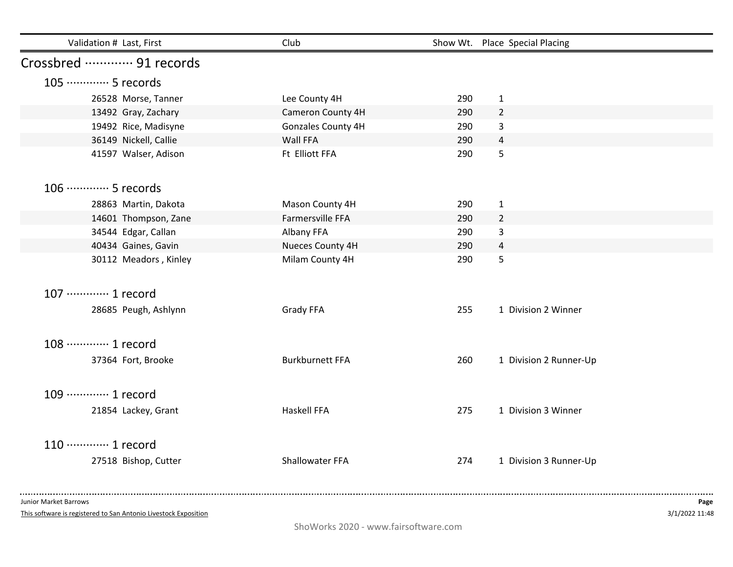| Validation # Last, First     | Club                   |     | Show Wt. Place Special Placing |      |
|------------------------------|------------------------|-----|--------------------------------|------|
| Crossbred  91 records        |                        |     |                                |      |
| 105 ·············· 5 records |                        |     |                                |      |
| 26528 Morse, Tanner          | Lee County 4H          | 290 | $\mathbf{1}$                   |      |
| 13492 Gray, Zachary          | Cameron County 4H      | 290 | $\overline{2}$                 |      |
| 19492 Rice, Madisyne         | Gonzales County 4H     | 290 | 3                              |      |
| 36149 Nickell, Callie        | Wall FFA               | 290 | 4                              |      |
| 41597 Walser, Adison         | Ft Elliott FFA         | 290 | 5                              |      |
| 106 ·············· 5 records |                        |     |                                |      |
| 28863 Martin, Dakota         | Mason County 4H        | 290 | $\mathbf{1}$                   |      |
| 14601 Thompson, Zane         | Farmersville FFA       | 290 | $\overline{2}$                 |      |
| 34544 Edgar, Callan          | Albany FFA             | 290 | 3                              |      |
| 40434 Gaines, Gavin          | Nueces County 4H       | 290 | $\overline{\mathbf{r}}$        |      |
| 30112 Meadors, Kinley        | Milam County 4H        | 290 | 5                              |      |
| 107 ············· 1 record   |                        |     |                                |      |
| 28685 Peugh, Ashlynn         | Grady FFA              | 255 | 1 Division 2 Winner            |      |
| 108 ………… 1 record            |                        |     |                                |      |
| 37364 Fort, Brooke           | <b>Burkburnett FFA</b> | 260 | 1 Division 2 Runner-Up         |      |
| 109 ············· 1 record   |                        |     |                                |      |
| 21854 Lackey, Grant          | Haskell FFA            | 275 | 1 Division 3 Winner            |      |
| 110 ············· 1 record   |                        |     |                                |      |
| 27518 Bishop, Cutter         | Shallowater FFA        | 274 | 1 Division 3 Runner-Up         |      |
| Junior Market Barrows        |                        |     |                                | Page |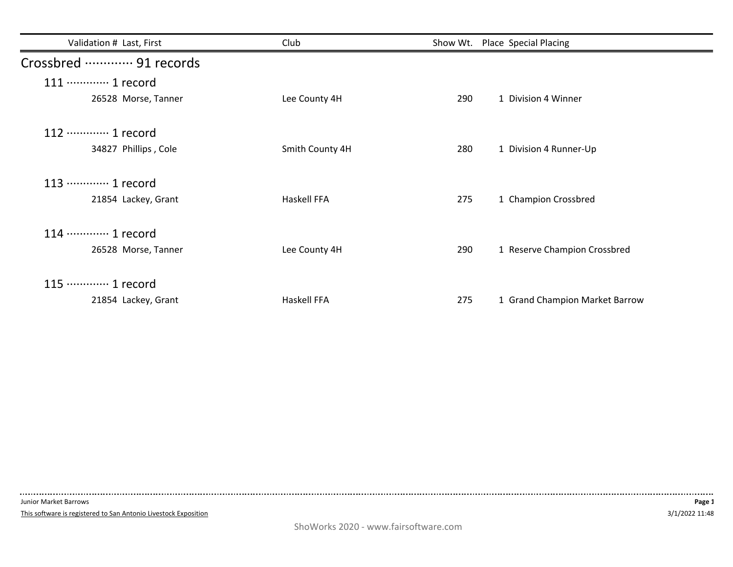| Validation # Last, First   | Club            |     | Show Wt. Place Special Placing |
|----------------------------|-----------------|-----|--------------------------------|
| Crossbred  91 records      |                 |     |                                |
| 111 ············· 1 record |                 |     |                                |
| 26528 Morse, Tanner        | Lee County 4H   | 290 | 1 Division 4 Winner            |
| 112 ………… 1 record          |                 |     |                                |
| 34827 Phillips, Cole       | Smith County 4H | 280 | 1 Division 4 Runner-Up         |
| 113 ………… 1 record          |                 |     |                                |
| 21854 Lackey, Grant        | Haskell FFA     | 275 | 1 Champion Crossbred           |
| 114 ………… 1 record          |                 |     |                                |
| 26528 Morse, Tanner        | Lee County 4H   | 290 | 1 Reserve Champion Crossbred   |
| 115 ············· 1 record |                 |     |                                |
| 21854 Lackey, Grant        | Haskell FFA     | 275 | 1 Grand Champion Market Barrow |

 $\frac{1}{2}$ 

. \_ \_ \_ \_ \_ \_ \_ \_ \_ \_ \_ \_ \_ \_ \_ \_ \_ \_

للأساس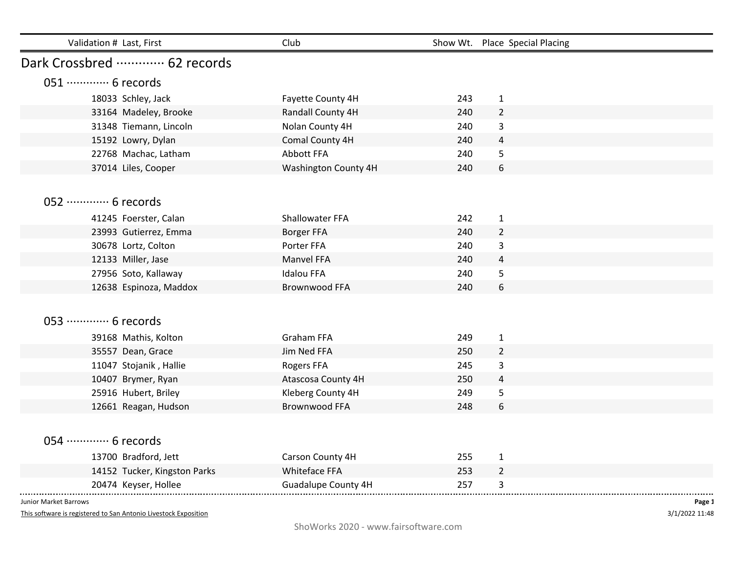| Validation # Last, First     | Club                       |     | Show Wt. Place Special Placing |
|------------------------------|----------------------------|-----|--------------------------------|
| Dark Crossbred  62 records   |                            |     |                                |
| 051 ············· 6 records  |                            |     |                                |
| 18033 Schley, Jack           | Fayette County 4H          | 243 | $\mathbf{1}$                   |
| 33164 Madeley, Brooke        | Randall County 4H          | 240 | $\overline{2}$                 |
| 31348 Tiemann, Lincoln       | Nolan County 4H            | 240 | 3                              |
| 15192 Lowry, Dylan           | Comal County 4H            | 240 | 4                              |
| 22768 Machac, Latham         | Abbott FFA                 | 240 | 5                              |
| 37014 Liles, Cooper          | Washington County 4H       | 240 | 6                              |
|                              |                            |     |                                |
| 052 ············· 6 records  |                            |     |                                |
| 41245 Foerster, Calan        | Shallowater FFA            | 242 | $\mathbf{1}$                   |
| 23993 Gutierrez, Emma        | <b>Borger FFA</b>          | 240 | $\overline{2}$                 |
| 30678 Lortz, Colton          | Porter FFA                 | 240 | 3                              |
| 12133 Miller, Jase           | Manvel FFA                 | 240 | 4                              |
| 27956 Soto, Kallaway         | <b>Idalou FFA</b>          | 240 | 5                              |
| 12638 Espinoza, Maddox       | Brownwood FFA              | 240 | 6                              |
|                              |                            |     |                                |
| 053 ………… 6 records           |                            |     |                                |
| 39168 Mathis, Kolton         | Graham FFA                 | 249 | $\mathbf{1}$                   |
| 35557 Dean, Grace            | Jim Ned FFA                | 250 | $\overline{2}$                 |
| 11047 Stojanik, Hallie       | Rogers FFA                 | 245 | 3                              |
| 10407 Brymer, Ryan           | Atascosa County 4H         | 250 | 4                              |
| 25916 Hubert, Briley         | Kleberg County 4H          | 249 | 5                              |
| 12661 Reagan, Hudson         | Brownwood FFA              | 248 | 6                              |
|                              |                            |     |                                |
| 054 ············· 6 records  |                            |     |                                |
| 13700 Bradford, Jett         | Carson County 4H           | 255 | $\mathbf 1$                    |
| 14152 Tucker, Kingston Parks | Whiteface FFA              | 253 | $\overline{2}$                 |
| 20474 Keyser, Hollee         | <b>Guadalupe County 4H</b> | 257 | 3                              |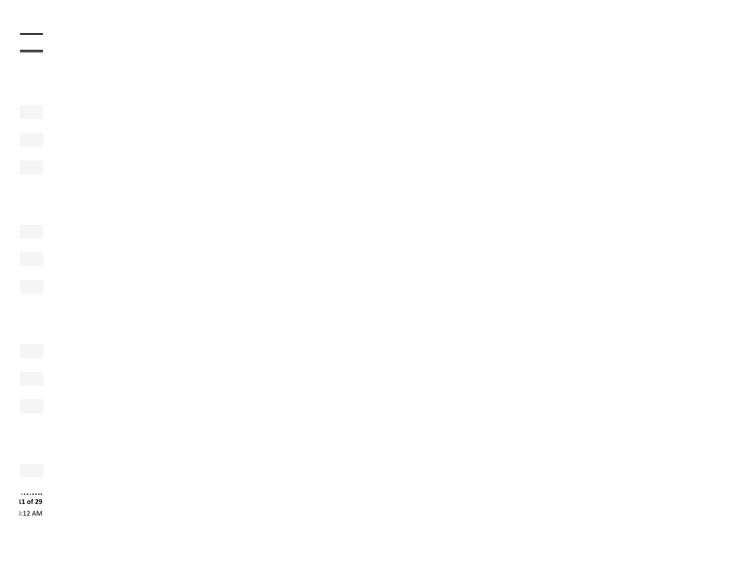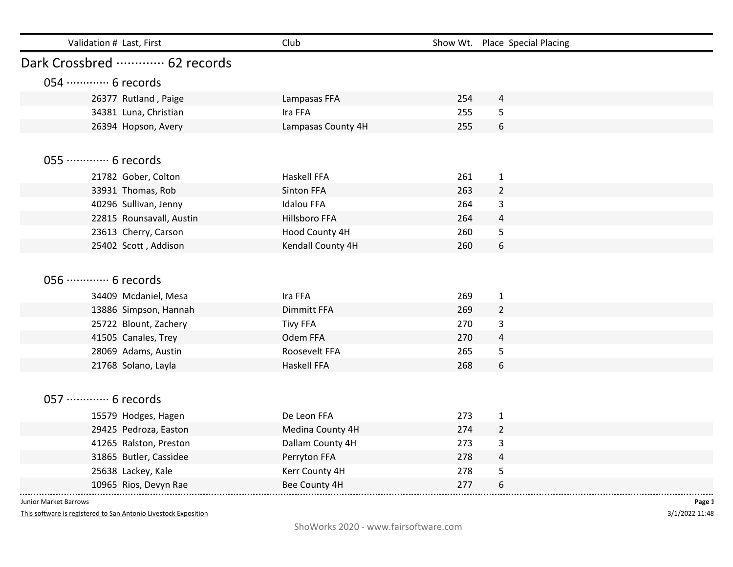| Validation # Last, First    | Club               |     | Show Wt. Place Special Placing |
|-----------------------------|--------------------|-----|--------------------------------|
| Dark Crossbred  62 records  |                    |     |                                |
| 054 ………… 6 records          |                    |     |                                |
| 26377 Rutland, Paige        | Lampasas FFA       | 254 | $\overline{a}$                 |
| 34381 Luna, Christian       | Ira FFA            | 255 | 5                              |
| 26394 Hopson, Avery         | Lampasas County 4H | 255 | 6                              |
|                             |                    |     |                                |
| 055 ············· 6 records |                    |     |                                |
| 21782 Gober, Colton         | Haskell FFA        | 261 | $\mathbf{1}$                   |
| 33931 Thomas, Rob           | Sinton FFA         | 263 | $\overline{2}$                 |
| 40296 Sullivan, Jenny       | <b>Idalou FFA</b>  | 264 | $\mathsf{3}$                   |
| 22815 Rounsavall, Austin    | Hillsboro FFA      | 264 | $\overline{4}$                 |
| 23613 Cherry, Carson        | Hood County 4H     | 260 | 5                              |
| 25402 Scott, Addison        | Kendall County 4H  | 260 | 6                              |
|                             |                    |     |                                |
| 056 ············· 6 records |                    |     |                                |
| 34409 Mcdaniel, Mesa        | Ira FFA            | 269 | $\mathbf{1}$                   |
| 13886 Simpson, Hannah       | Dimmitt FFA        | 269 | $\overline{2}$                 |
| 25722 Blount, Zachery       | <b>Tivy FFA</b>    | 270 | 3                              |
| 41505 Canales, Trey         | Odem FFA           | 270 | 4                              |
| 28069 Adams, Austin         | Roosevelt FFA      | 265 | 5                              |
| 21768 Solano, Layla         | <b>Haskell FFA</b> | 268 | 6                              |
|                             |                    |     |                                |
| 057 ············· 6 records |                    |     |                                |
| 15579 Hodges, Hagen         | De Leon FFA        | 273 | $\mathbf{1}$                   |
| 29425 Pedroza, Easton       | Medina County 4H   | 274 | $\overline{2}$                 |
| 41265 Ralston, Preston      | Dallam County 4H   | 273 | 3                              |
| 31865 Butler, Cassidee      | Perryton FFA       | 278 | 4                              |
| 25638 Lackey, Kale          | Kerr County 4H     | 278 | $\mathsf S$                    |
| 10965 Rios, Devyn Rae       | Bee County 4H      | 277 | 6                              |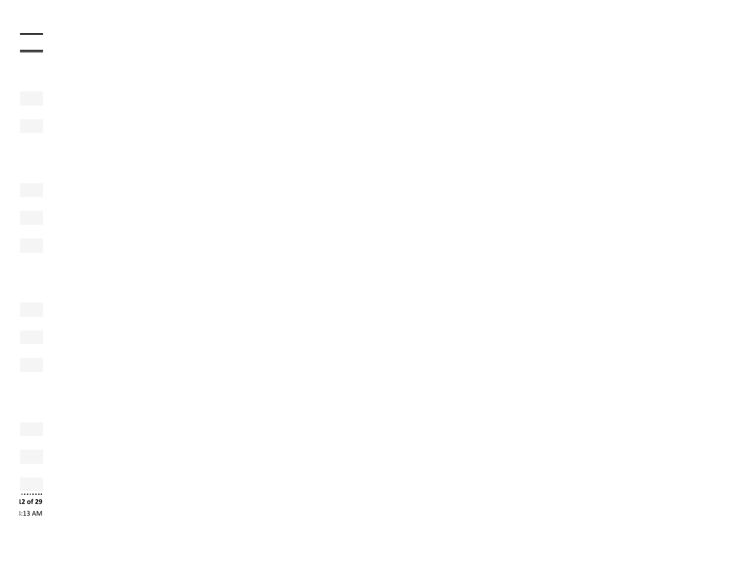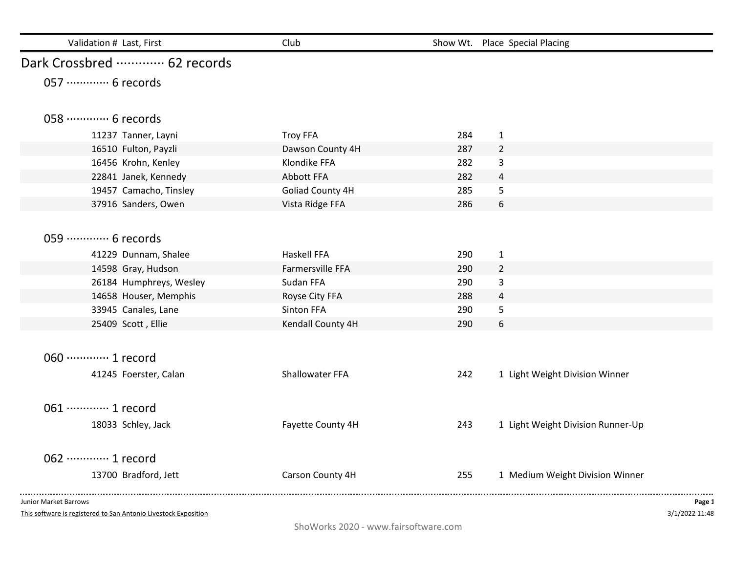| Validation # Last, First    | Club              |     | Show Wt. Place Special Placing    |       |
|-----------------------------|-------------------|-----|-----------------------------------|-------|
| Dark Crossbred  62 records  |                   |     |                                   |       |
| 057 ············· 6 records |                   |     |                                   |       |
|                             |                   |     |                                   |       |
| 058 ………… 6 records          |                   |     |                                   |       |
| 11237 Tanner, Layni         | <b>Troy FFA</b>   | 284 | $\mathbf{1}$                      |       |
| 16510 Fulton, Payzli        | Dawson County 4H  | 287 | $\overline{2}$                    |       |
| 16456 Krohn, Kenley         | Klondike FFA      | 282 | 3                                 |       |
| 22841 Janek, Kennedy        | Abbott FFA        | 282 | 4                                 |       |
| 19457 Camacho, Tinsley      | Goliad County 4H  | 285 | 5                                 |       |
| 37916 Sanders, Owen         | Vista Ridge FFA   | 286 | 6                                 |       |
|                             |                   |     |                                   |       |
| 059 ············· 6 records |                   |     |                                   |       |
| 41229 Dunnam, Shalee        | Haskell FFA       | 290 | $\mathbf{1}$                      |       |
| 14598 Gray, Hudson          | Farmersville FFA  | 290 | $\overline{2}$                    |       |
| 26184 Humphreys, Wesley     | Sudan FFA         | 290 | 3                                 |       |
| 14658 Houser, Memphis       | Royse City FFA    | 288 | 4                                 |       |
| 33945 Canales, Lane         | Sinton FFA        | 290 | 5                                 |       |
| 25409 Scott, Ellie          | Kendall County 4H | 290 | 6                                 |       |
|                             |                   |     |                                   |       |
| 060 ············· 1 record  |                   |     |                                   |       |
| 41245 Foerster, Calan       | Shallowater FFA   | 242 | 1 Light Weight Division Winner    |       |
|                             |                   |     |                                   |       |
| 061 ············· 1 record  |                   |     |                                   |       |
| 18033 Schley, Jack          | Fayette County 4H | 243 | 1 Light Weight Division Runner-Up |       |
|                             |                   |     |                                   |       |
| 062 ············· 1 record  |                   |     |                                   |       |
| 13700 Bradford, Jett        | Carson County 4H  | 255 | 1 Medium Weight Division Winner   |       |
|                             |                   |     |                                   |       |
| Junior Market Barrows       |                   |     |                                   | Page: |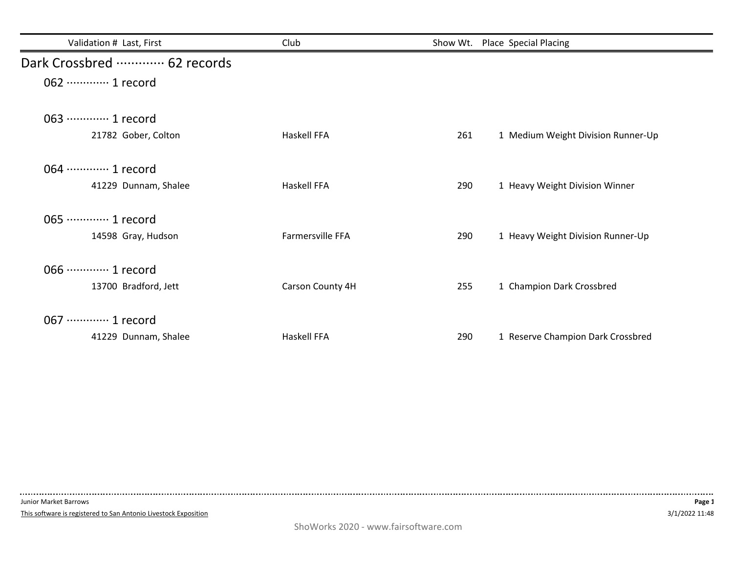| Validation # Last, First       | Club               |     | Show Wt. Place Special Placing     |
|--------------------------------|--------------------|-----|------------------------------------|
| Dark Crossbred ………… 62 records |                    |     |                                    |
| 062 ············· 1 record     |                    |     |                                    |
| 063 ············· 1 record     |                    |     |                                    |
| 21782 Gober, Colton            | <b>Haskell FFA</b> | 261 | 1 Medium Weight Division Runner-Up |
| 064 ·············· 1 record    |                    |     |                                    |
| 41229 Dunnam, Shalee           | <b>Haskell FFA</b> | 290 | 1 Heavy Weight Division Winner     |
| 065 ·············· 1 record    |                    |     |                                    |
| 14598 Gray, Hudson             | Farmersville FFA   | 290 | 1 Heavy Weight Division Runner-Up  |
| 066 ············· 1 record     |                    |     |                                    |
| 13700 Bradford, Jett           | Carson County 4H   | 255 | 1 Champion Dark Crossbred          |
| 067 ············· 1 record     |                    |     |                                    |
| 41229 Dunnam, Shalee           | Haskell FFA        | 290 | 1 Reserve Champion Dark Crossbred  |

 $\sim 100$ 

للأساس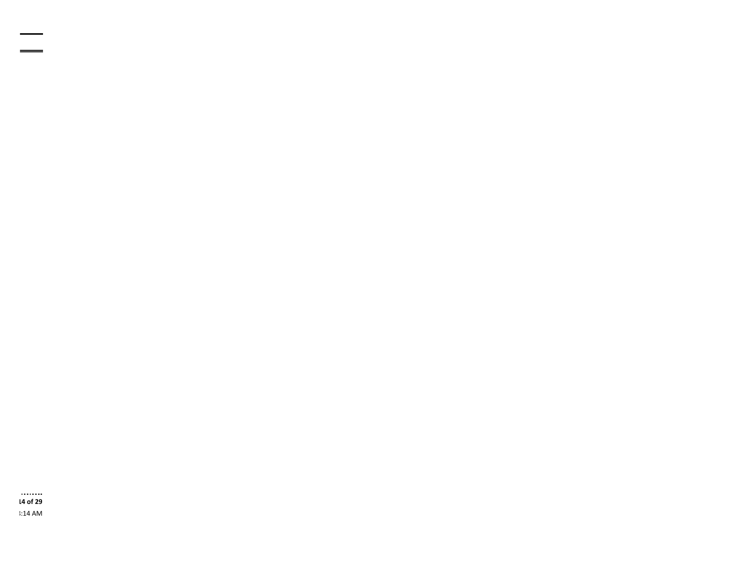$\sim$  . . . . . . . **Page 14 of 29**  $1:14$  AM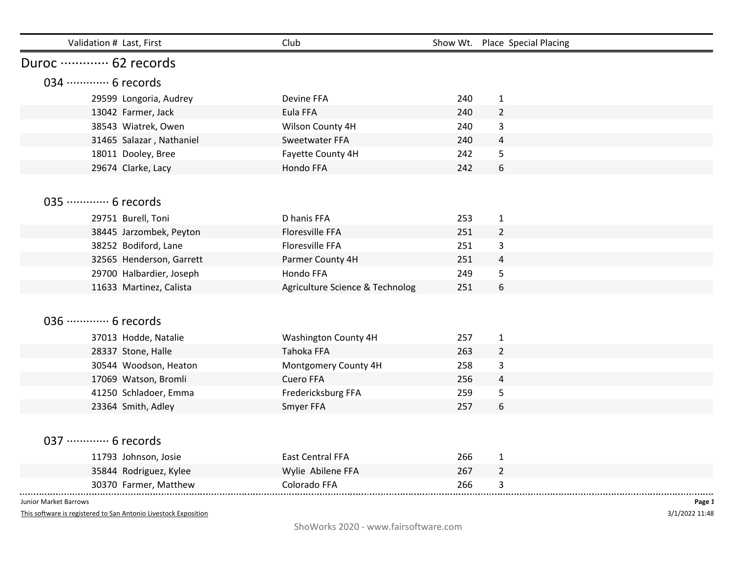| Validation # Last, First    | Club                            |     | Show Wt. Place Special Placing |
|-----------------------------|---------------------------------|-----|--------------------------------|
| Duroc ………… 62 records       |                                 |     |                                |
| 034 ············· 6 records |                                 |     |                                |
| 29599 Longoria, Audrey      | Devine FFA                      | 240 | $\mathbf{1}$                   |
| 13042 Farmer, Jack          | Eula FFA                        | 240 | $\overline{2}$                 |
| 38543 Wiatrek, Owen         | Wilson County 4H                | 240 | 3                              |
| 31465 Salazar, Nathaniel    | Sweetwater FFA                  | 240 | $\overline{a}$                 |
| 18011 Dooley, Bree          | Fayette County 4H               | 242 | 5                              |
| 29674 Clarke, Lacy          | Hondo FFA                       | 242 | 6                              |
|                             |                                 |     |                                |
| 035 ············· 6 records |                                 |     |                                |
| 29751 Burell, Toni          | D hanis FFA                     | 253 | $\mathbf{1}$                   |
| 38445 Jarzombek, Peyton     | Floresville FFA                 | 251 | $\overline{2}$                 |
| 38252 Bodiford, Lane        | Floresville FFA                 | 251 | 3                              |
| 32565 Henderson, Garrett    | Parmer County 4H                | 251 | 4                              |
| 29700 Halbardier, Joseph    | Hondo FFA                       | 249 | 5                              |
| 11633 Martinez, Calista     | Agriculture Science & Technolog | 251 | 6                              |
|                             |                                 |     |                                |
| 036 ············· 6 records |                                 |     |                                |
| 37013 Hodde, Natalie        | Washington County 4H            | 257 | $\mathbf{1}$                   |
| 28337 Stone, Halle          | Tahoka FFA                      | 263 | $\overline{2}$                 |
| 30544 Woodson, Heaton       | Montgomery County 4H            | 258 | 3                              |
| 17069 Watson, Bromli        | <b>Cuero FFA</b>                | 256 | 4                              |
| 41250 Schladoer, Emma       | Fredericksburg FFA              | 259 | 5                              |
| 23364 Smith, Adley          | Smyer FFA                       | 257 | 6                              |
|                             |                                 |     |                                |
| 037 ············· 6 records |                                 |     |                                |
|                             |                                 |     |                                |
| 11793 Johnson, Josie        | East Central FFA                | 266 | $\mathbf{1}$                   |
| 35844 Rodriguez, Kylee      | Wylie Abilene FFA               | 267 | $\overline{2}$                 |
| 30370 Farmer, Matthew       | Colorado FFA                    | 266 | 3                              |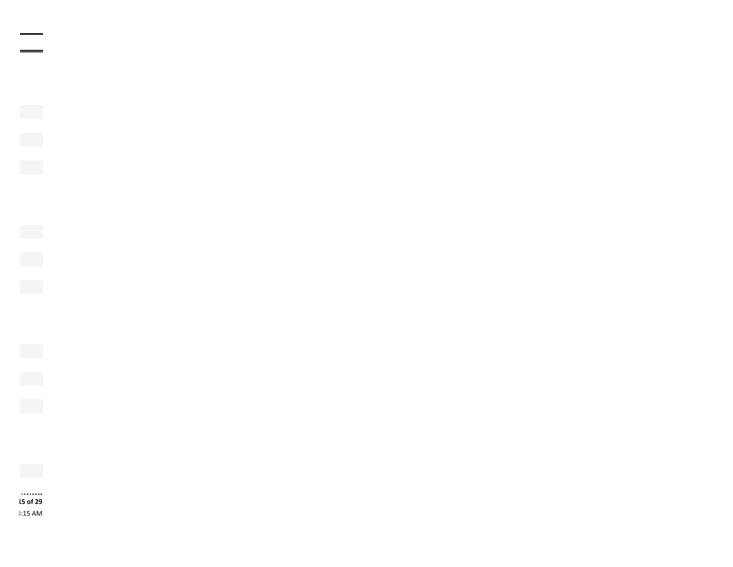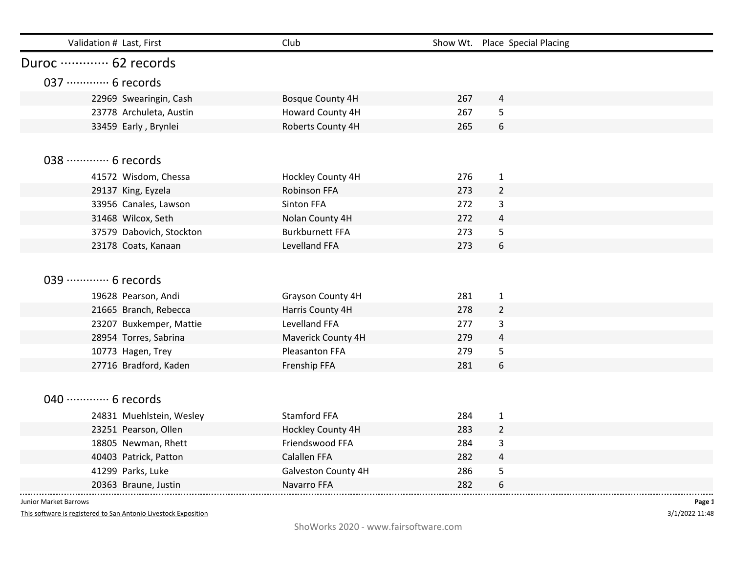| Validation # Last, First    | Club                   |     | Show Wt. Place Special Placing |
|-----------------------------|------------------------|-----|--------------------------------|
| Duroc ………… 62 records       |                        |     |                                |
| 037 ············· 6 records |                        |     |                                |
| 22969 Swearingin, Cash      | Bosque County 4H       | 267 | 4                              |
| 23778 Archuleta, Austin     | Howard County 4H       | 267 | 5                              |
| 33459 Early, Brynlei        | Roberts County 4H      | 265 | 6                              |
| 038 ………… 6 records          |                        |     |                                |
| 41572 Wisdom, Chessa        | Hockley County 4H      | 276 | $\mathbf{1}$                   |
| 29137 King, Eyzela          | Robinson FFA           | 273 | $\overline{2}$                 |
| 33956 Canales, Lawson       | Sinton FFA             | 272 | 3                              |
| 31468 Wilcox, Seth          | Nolan County 4H        | 272 | 4                              |
| 37579 Dabovich, Stockton    | <b>Burkburnett FFA</b> | 273 | 5                              |
| 23178 Coats, Kanaan         | Levelland FFA          | 273 | 6                              |
| 039 ………… 6 records          |                        |     |                                |
| 19628 Pearson, Andi         | Grayson County 4H      | 281 | $\mathbf{1}$                   |
| 21665 Branch, Rebecca       | Harris County 4H       | 278 | $\overline{2}$                 |
| 23207 Buxkemper, Mattie     | Levelland FFA          | 277 | 3                              |
| 28954 Torres, Sabrina       | Maverick County 4H     | 279 | 4                              |
| 10773 Hagen, Trey           | Pleasanton FFA         | 279 | 5                              |
| 27716 Bradford, Kaden       | Frenship FFA           | 281 | 6                              |
| 040 ············· 6 records |                        |     |                                |
| 24831 Muehlstein, Wesley    | <b>Stamford FFA</b>    | 284 | $\mathbf{1}$                   |
| 23251 Pearson, Ollen        | Hockley County 4H      | 283 | $\overline{2}$                 |
| 18805 Newman, Rhett         | Friendswood FFA        | 284 | $\mathsf{3}$                   |
| 40403 Patrick, Patton       | Calallen FFA           | 282 | 4                              |
| 41299 Parks, Luke           | Galveston County 4H    | 286 | 5                              |
| 20363 Braune, Justin        | Navarro FFA            | 282 | 6                              |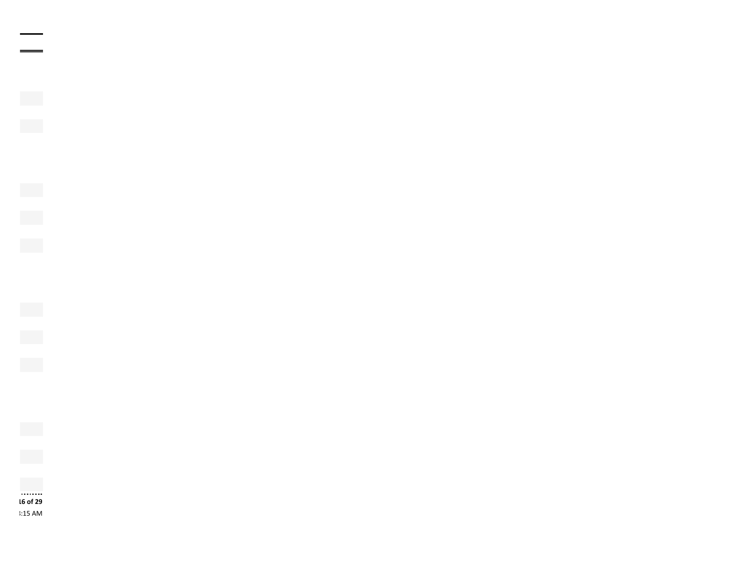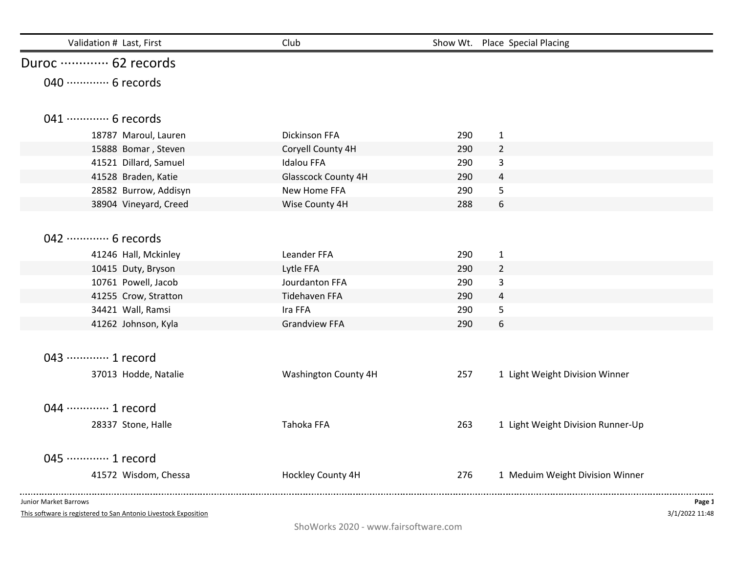| Duroc ………… 62 records<br>040 ············· 6 records                                     |     |                                   |                          |
|------------------------------------------------------------------------------------------|-----|-----------------------------------|--------------------------|
|                                                                                          |     |                                   |                          |
|                                                                                          |     |                                   |                          |
| 041 ………… 6 records                                                                       |     |                                   |                          |
| 18787 Maroul, Lauren<br>Dickinson FFA                                                    | 290 | $\mathbf{1}$                      |                          |
| Coryell County 4H<br>15888 Bomar, Steven                                                 | 290 | $\overline{2}$                    |                          |
| 41521 Dillard, Samuel<br><b>Idalou FFA</b>                                               | 290 | $\mathsf{3}$                      |                          |
| 41528 Braden, Katie<br><b>Glasscock County 4H</b>                                        | 290 | $\overline{a}$                    |                          |
| 28582 Burrow, Addisyn<br>New Home FFA                                                    | 290 | 5                                 |                          |
| 38904 Vineyard, Creed<br>Wise County 4H                                                  | 288 | $\boldsymbol{6}$                  |                          |
|                                                                                          |     |                                   |                          |
| 042 ············· 6 records                                                              |     |                                   |                          |
| 41246 Hall, Mckinley<br>Leander FFA                                                      | 290 | $\mathbf{1}$                      |                          |
| 10415 Duty, Bryson<br>Lytle FFA                                                          | 290 | $\overline{2}$                    |                          |
| 10761 Powell, Jacob<br>Jourdanton FFA                                                    | 290 | 3                                 |                          |
| Tidehaven FFA<br>41255 Crow, Stratton                                                    | 290 | $\overline{a}$                    |                          |
| 34421 Wall, Ramsi<br>Ira FFA                                                             | 290 | 5                                 |                          |
| 41262 Johnson, Kyla<br><b>Grandview FFA</b>                                              | 290 | 6                                 |                          |
|                                                                                          |     |                                   |                          |
| 043 ………… 1 record                                                                        |     |                                   |                          |
| 37013 Hodde, Natalie<br>Washington County 4H                                             | 257 | 1 Light Weight Division Winner    |                          |
|                                                                                          |     |                                   |                          |
| 044 ………… 1 record                                                                        |     |                                   |                          |
| Tahoka FFA<br>28337 Stone, Halle                                                         | 263 | 1 Light Weight Division Runner-Up |                          |
| 045 ………… 1 record                                                                        |     |                                   |                          |
| 41572 Wisdom, Chessa<br>Hockley County 4H                                                | 276 | 1 Meduim Weight Division Winner   |                          |
|                                                                                          |     |                                   |                          |
| Junior Market Barrows<br>This software is registered to San Antonio Livestock Exposition |     |                                   | Page 1<br>3/1/2022 11:48 |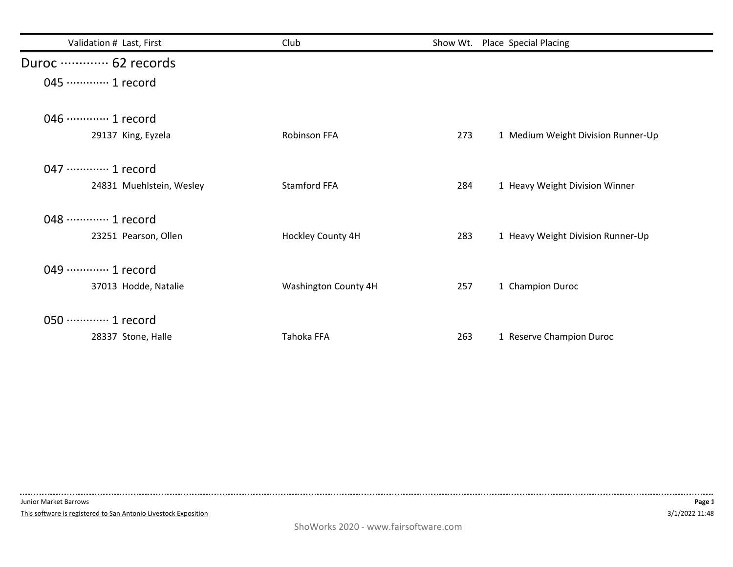| Validation # Last, First    | Club                 |     | Show Wt. Place Special Placing     |
|-----------------------------|----------------------|-----|------------------------------------|
| Duroc  62 records           |                      |     |                                    |
| 045 ·············· 1 record |                      |     |                                    |
| 046 ………… 1 record           |                      |     |                                    |
| 29137 King, Eyzela          | Robinson FFA         | 273 | 1 Medium Weight Division Runner-Up |
| 047 ·············· 1 record |                      |     |                                    |
| 24831 Muehlstein, Wesley    | <b>Stamford FFA</b>  | 284 | 1 Heavy Weight Division Winner     |
| 048 ………… 1 record           |                      |     |                                    |
| 23251 Pearson, Ollen        | Hockley County 4H    | 283 | 1 Heavy Weight Division Runner-Up  |
| 049 ·············· 1 record |                      |     |                                    |
| 37013 Hodde, Natalie        | Washington County 4H | 257 | 1 Champion Duroc                   |
| 050 ············· 1 record  |                      |     |                                    |
| 28337 Stone, Halle          | Tahoka FFA           | 263 | 1 Reserve Champion Duroc           |

 $\begin{array}{cccccccccc} \multicolumn{2}{c}{} & \multicolumn{2}{c}{} & \multicolumn{2}{c}{} & \multicolumn{2}{c}{} & \multicolumn{2}{c}{} & \multicolumn{2}{c}{} & \multicolumn{2}{c}{} & \multicolumn{2}{c}{} & \multicolumn{2}{c}{} & \multicolumn{2}{c}{} & \multicolumn{2}{c}{} & \multicolumn{2}{c}{} & \multicolumn{2}{c}{} & \multicolumn{2}{c}{} & \multicolumn{2}{c}{} & \multicolumn{2}{c}{} & \multicolumn{2}{c}{} & \multicolumn{2}{c}{} & \multicolumn{2}{c}{} & \mult$ 

 $- - -$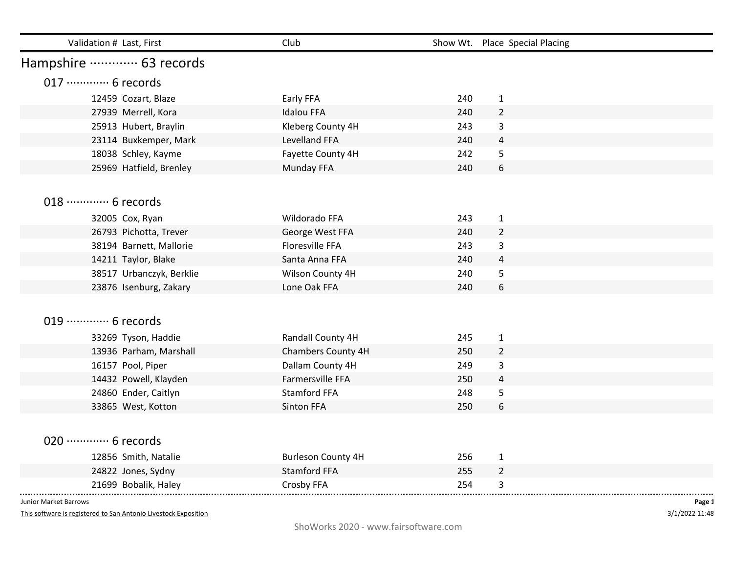| Validation # Last, First     | Club                      |     | Show Wt. Place Special Placing |
|------------------------------|---------------------------|-----|--------------------------------|
| Hampshire ………… 63 records    |                           |     |                                |
| 017 ············· 6 records  |                           |     |                                |
| 12459 Cozart, Blaze          | Early FFA                 | 240 | $\mathbf{1}$                   |
| 27939 Merrell, Kora          | <b>Idalou FFA</b>         | 240 | $\overline{2}$                 |
| 25913 Hubert, Braylin        | Kleberg County 4H         | 243 | 3                              |
| 23114 Buxkemper, Mark        | Levelland FFA             | 240 | 4                              |
| 18038 Schley, Kayme          | Fayette County 4H         | 242 | 5                              |
| 25969 Hatfield, Brenley      | Munday FFA                | 240 | 6                              |
|                              |                           |     |                                |
|                              |                           |     |                                |
| 018 ············· 6 records  |                           |     |                                |
| 32005 Cox, Ryan              | Wildorado FFA             | 243 | $\mathbf{1}$                   |
| 26793 Pichotta, Trever       | George West FFA           | 240 | $\overline{2}$                 |
| 38194 Barnett, Mallorie      | Floresville FFA           | 243 | 3                              |
| 14211 Taylor, Blake          | Santa Anna FFA            | 240 | 4                              |
| 38517 Urbanczyk, Berklie     | Wilson County 4H          | 240 | 5                              |
| 23876 Isenburg, Zakary       | Lone Oak FFA              | 240 | 6                              |
|                              |                           |     |                                |
| 019 ············· 6 records  |                           |     |                                |
|                              |                           |     |                                |
| 33269 Tyson, Haddie          | Randall County 4H         | 245 | $\mathbf{1}$                   |
| 13936 Parham, Marshall       | Chambers County 4H        | 250 | $\overline{2}$                 |
| 16157 Pool, Piper            | Dallam County 4H          | 249 | 3                              |
| 14432 Powell, Klayden        | Farmersville FFA          | 250 | 4                              |
| 24860 Ender, Caitlyn         | <b>Stamford FFA</b>       | 248 | 5                              |
| 33865 West, Kotton           | Sinton FFA                | 250 | 6                              |
|                              |                           |     |                                |
| 020 ·············· 6 records |                           |     |                                |
| 12856 Smith, Natalie         | <b>Burleson County 4H</b> | 256 | $\mathbf{1}$                   |
| 24822 Jones, Sydny           | <b>Stamford FFA</b>       | 255 | $\overline{2}$                 |
| 21699 Bobalik, Haley         | Crosby FFA                | 254 | 3                              |
| Junior Market Barrows        |                           |     | Page 1                         |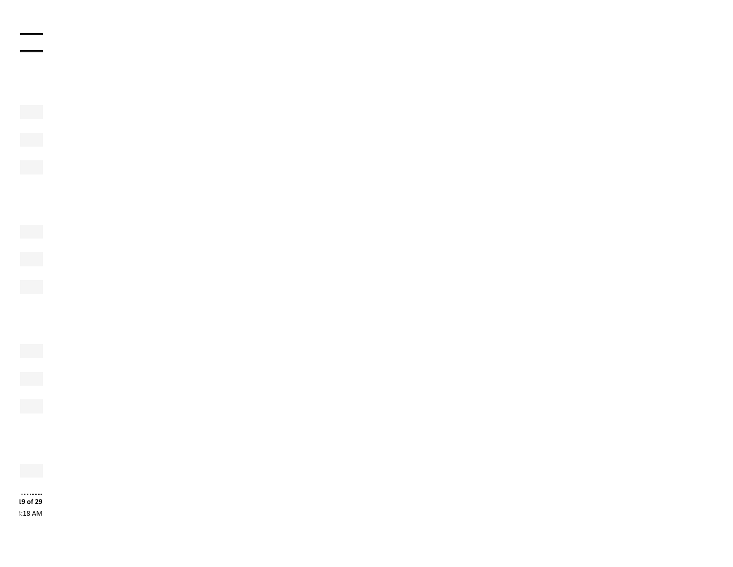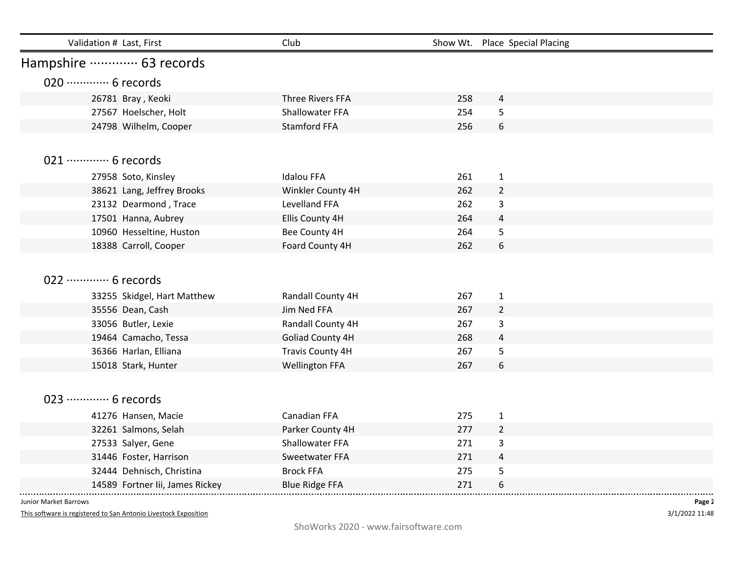| Validation # Last, First        | Club                    |     | Show Wt. Place Special Placing |
|---------------------------------|-------------------------|-----|--------------------------------|
| Hampshire ………… 63 records       |                         |     |                                |
| 020 ············· 6 records     |                         |     |                                |
| 26781 Bray, Keoki               | Three Rivers FFA        | 258 | $\overline{4}$                 |
| 27567 Hoelscher, Holt           | Shallowater FFA         | 254 | 5                              |
| 24798 Wilhelm, Cooper           | Stamford FFA            | 256 | 6                              |
|                                 |                         |     |                                |
| 021 ………… 6 records              |                         |     |                                |
| 27958 Soto, Kinsley             | <b>Idalou FFA</b>       | 261 | $\mathbf{1}$                   |
| 38621 Lang, Jeffrey Brooks      | Winkler County 4H       | 262 | $\overline{2}$                 |
| 23132 Dearmond, Trace           | Levelland FFA           | 262 | $\mathsf{3}$                   |
| 17501 Hanna, Aubrey             | Ellis County 4H         | 264 | $\overline{4}$                 |
| 10960 Hesseltine, Huston        | Bee County 4H           | 264 | 5                              |
| 18388 Carroll, Cooper           | Foard County 4H         | 262 | 6                              |
|                                 |                         |     |                                |
| 022 ············· 6 records     |                         |     |                                |
| 33255 Skidgel, Hart Matthew     | Randall County 4H       | 267 | $\mathbf{1}$                   |
| 35556 Dean, Cash                | Jim Ned FFA             | 267 | $\overline{2}$                 |
| 33056 Butler, Lexie             | Randall County 4H       | 267 | 3                              |
| 19464 Camacho, Tessa            | Goliad County 4H        | 268 | 4                              |
| 36366 Harlan, Elliana           | <b>Travis County 4H</b> | 267 | 5                              |
| 15018 Stark, Hunter             | <b>Wellington FFA</b>   | 267 | $\boldsymbol{6}$               |
|                                 |                         |     |                                |
| 023 ············· 6 records     |                         |     |                                |
| 41276 Hansen, Macie             | Canadian FFA            | 275 | $\mathbf{1}$                   |
| 32261 Salmons, Selah            | Parker County 4H        | 277 | $\overline{2}$                 |
| 27533 Salyer, Gene              | Shallowater FFA         | 271 | 3                              |
| 31446 Foster, Harrison          | Sweetwater FFA          | 271 | $\overline{a}$                 |
| 32444 Dehnisch, Christina       | <b>Brock FFA</b>        | 275 | 5                              |
| 14589 Fortner lii, James Rickey | <b>Blue Ridge FFA</b>   | 271 | 6                              |

This software is registered to San Antonio Livestock Exposition

3/1/2022 11:48 Page 2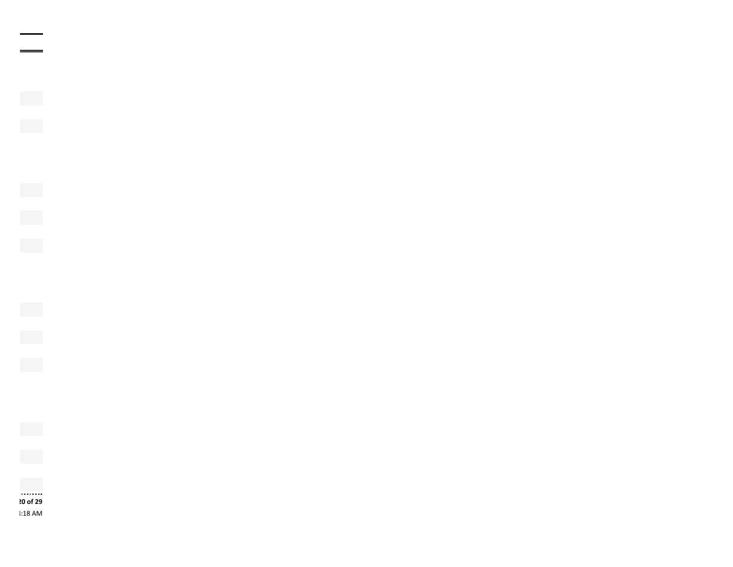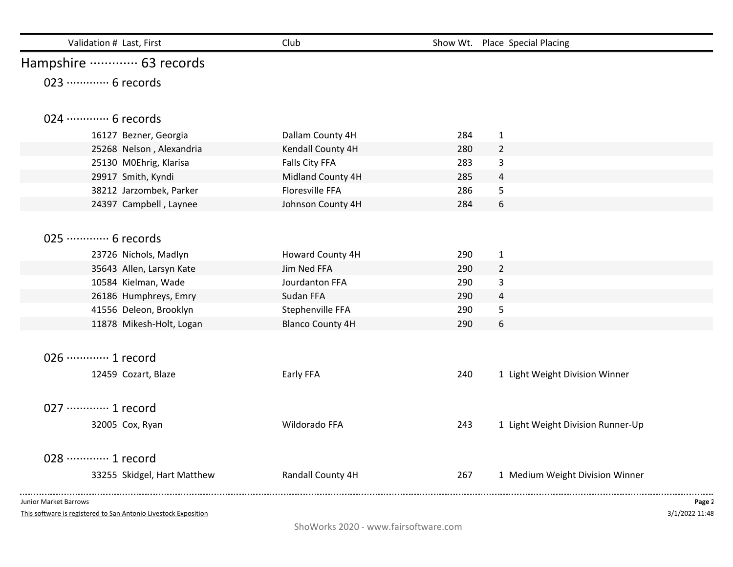| Validation # Last, First                                                                        | Club                    |     | Show Wt. Place Special Placing    |                          |
|-------------------------------------------------------------------------------------------------|-------------------------|-----|-----------------------------------|--------------------------|
| Hampshire ………… 63 records                                                                       |                         |     |                                   |                          |
| 023 ………… 6 records                                                                              |                         |     |                                   |                          |
| 024 ………… 6 records                                                                              |                         |     |                                   |                          |
| 16127 Bezner, Georgia                                                                           | Dallam County 4H        | 284 | $\mathbf{1}$                      |                          |
| 25268 Nelson, Alexandria                                                                        | Kendall County 4H       | 280 | $\overline{2}$                    |                          |
| 25130 M0Ehrig, Klarisa                                                                          | Falls City FFA          | 283 | 3                                 |                          |
| 29917 Smith, Kyndi                                                                              | Midland County 4H       | 285 | 4                                 |                          |
| 38212 Jarzombek, Parker                                                                         | Floresville FFA         | 286 | 5                                 |                          |
| 24397 Campbell, Laynee                                                                          | Johnson County 4H       | 284 | 6                                 |                          |
|                                                                                                 |                         |     |                                   |                          |
| 025 ………… 6 records                                                                              |                         |     |                                   |                          |
| 23726 Nichols, Madlyn                                                                           | Howard County 4H        | 290 | $\mathbf{1}$                      |                          |
| 35643 Allen, Larsyn Kate                                                                        | Jim Ned FFA             | 290 | $\overline{2}$                    |                          |
| 10584 Kielman, Wade                                                                             | Jourdanton FFA          | 290 | 3                                 |                          |
| 26186 Humphreys, Emry                                                                           | Sudan FFA               | 290 | 4                                 |                          |
| 41556 Deleon, Brooklyn                                                                          | Stephenville FFA        | 290 | 5                                 |                          |
| 11878 Mikesh-Holt, Logan                                                                        | <b>Blanco County 4H</b> | 290 | 6                                 |                          |
|                                                                                                 |                         |     |                                   |                          |
| 026 ·············· 1 record                                                                     |                         |     |                                   |                          |
| 12459 Cozart, Blaze                                                                             | Early FFA               | 240 | 1 Light Weight Division Winner    |                          |
| 027 ············· 1 record                                                                      |                         |     |                                   |                          |
| 32005 Cox, Ryan                                                                                 | Wildorado FFA           | 243 | 1 Light Weight Division Runner-Up |                          |
| 028 ············· 1 record                                                                      |                         |     |                                   |                          |
| 33255 Skidgel, Hart Matthew                                                                     | Randall County 4H       | 267 | 1 Medium Weight Division Winner   |                          |
|                                                                                                 |                         |     |                                   |                          |
| <b>Junior Market Barrows</b><br>This software is registered to San Antonio Livestock Exposition |                         |     |                                   | Page 2<br>3/1/2022 11:48 |

ShoWorks 2020 - www.fairsoftware.com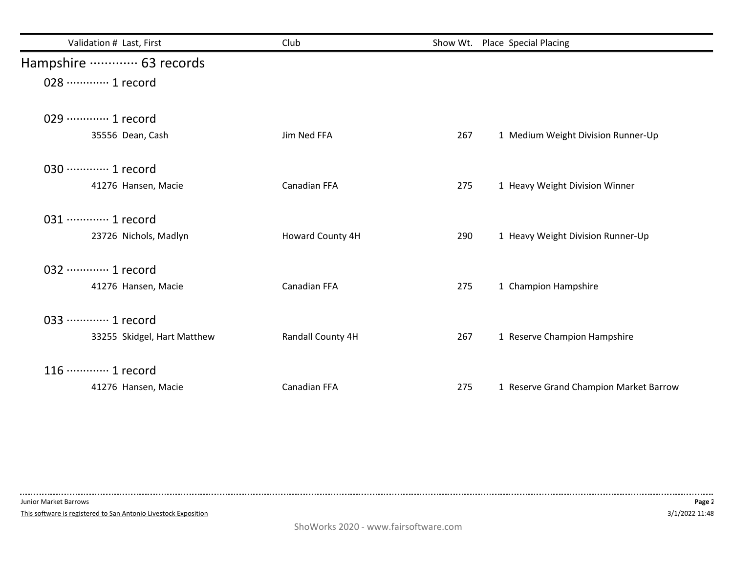| Validation # Last, First    | Club              |     | Show Wt. Place Special Placing         |
|-----------------------------|-------------------|-----|----------------------------------------|
| Hampshire ………… 63 records   |                   |     |                                        |
| 028 ………… 1 record           |                   |     |                                        |
|                             |                   |     |                                        |
| 029 ·············· 1 record |                   |     |                                        |
| 35556 Dean, Cash            | Jim Ned FFA       | 267 | 1 Medium Weight Division Runner-Up     |
|                             |                   |     |                                        |
| 030 ············· 1 record  |                   |     |                                        |
| 41276 Hansen, Macie         | Canadian FFA      | 275 | 1 Heavy Weight Division Winner         |
|                             |                   |     |                                        |
| 031 ………… 1 record           |                   |     |                                        |
| 23726 Nichols, Madlyn       | Howard County 4H  | 290 | 1 Heavy Weight Division Runner-Up      |
| 032 ………… 1 record           |                   |     |                                        |
| 41276 Hansen, Macie         | Canadian FFA      | 275 | 1 Champion Hampshire                   |
|                             |                   |     |                                        |
| 033 ············· 1 record  |                   |     |                                        |
| 33255 Skidgel, Hart Matthew | Randall County 4H | 267 | 1 Reserve Champion Hampshire           |
|                             |                   |     |                                        |
| 116 ············· 1 record  |                   |     |                                        |
| 41276 Hansen, Macie         | Canadian FFA      | 275 | 1 Reserve Grand Champion Market Barrow |
|                             |                   |     |                                        |

 $\sim 100$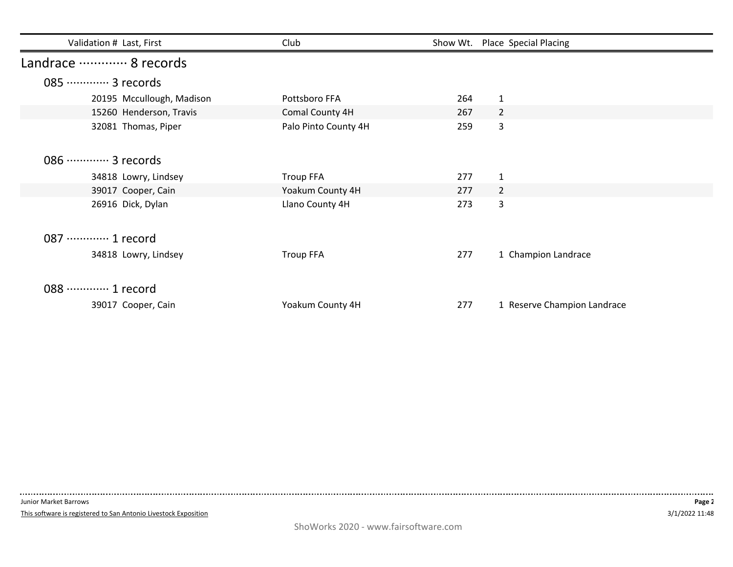| Validation # Last, First                            | Club                 | Show Wt. | Place Special Placing       |
|-----------------------------------------------------|----------------------|----------|-----------------------------|
| Landrace  8 records                                 |                      |          |                             |
| 085 ………… 3 records                                  |                      |          |                             |
| 20195 Mccullough, Madison                           | Pottsboro FFA        | 264      | $\mathbf{1}$                |
| 15260 Henderson, Travis                             | Comal County 4H      | 267      | $\overline{2}$              |
| 32081 Thomas, Piper                                 | Palo Pinto County 4H | 259      | 3                           |
| 086 ············· 3 records                         |                      |          |                             |
| 34818 Lowry, Lindsey                                | <b>Troup FFA</b>     | 277      | $\mathbf{1}$                |
| 39017 Cooper, Cain                                  | Yoakum County 4H     | 277      | $\overline{2}$              |
| 26916 Dick, Dylan                                   | Llano County 4H      | 273      | 3                           |
| 087 ·············· 1 record<br>34818 Lowry, Lindsey | <b>Troup FFA</b>     | 277      | 1 Champion Landrace         |
| 088 ………… 1 record                                   |                      |          |                             |
| 39017 Cooper, Cain                                  | Yoakum County 4H     | 277      | 1 Reserve Champion Landrace |

------------------------------

-------------------------------

 $- - -$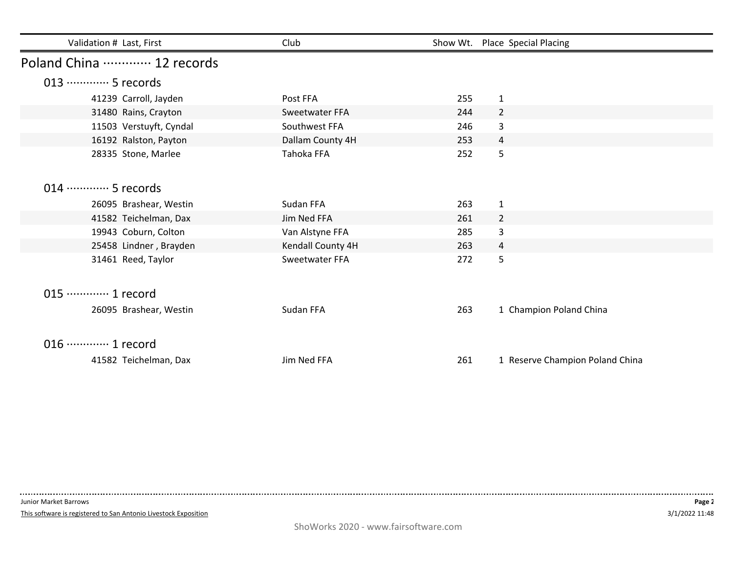| Validation # Last, First   | Club              |     | Show Wt. Place Special Placing  |
|----------------------------|-------------------|-----|---------------------------------|
| Poland China  12 records   |                   |     |                                 |
| 013 ………… 5 records         |                   |     |                                 |
| 41239 Carroll, Jayden      | Post FFA          | 255 | $\mathbf{1}$                    |
| 31480 Rains, Crayton       | Sweetwater FFA    | 244 | $\overline{2}$                  |
| 11503 Verstuyft, Cyndal    | Southwest FFA     | 246 | 3                               |
| 16192 Ralston, Payton      | Dallam County 4H  | 253 | 4                               |
| 28335 Stone, Marlee        | Tahoka FFA        | 252 | 5                               |
|                            |                   |     |                                 |
| 014 ………… 5 records         |                   |     |                                 |
| 26095 Brashear, Westin     | Sudan FFA         | 263 | $\mathbf{1}$                    |
| 41582 Teichelman, Dax      | Jim Ned FFA       | 261 | $\overline{2}$                  |
| 19943 Coburn, Colton       | Van Alstyne FFA   | 285 | 3                               |
| 25458 Lindner, Brayden     | Kendall County 4H | 263 | 4                               |
| 31461 Reed, Taylor         | Sweetwater FFA    | 272 | 5                               |
|                            |                   |     |                                 |
| 015 ············· 1 record |                   |     |                                 |
| 26095 Brashear, Westin     | Sudan FFA         | 263 | 1 Champion Poland China         |
| 016 ············· 1 record |                   |     |                                 |
| 41582 Teichelman, Dax      | Jim Ned FFA       | 261 | 1 Reserve Champion Poland China |
|                            |                   |     |                                 |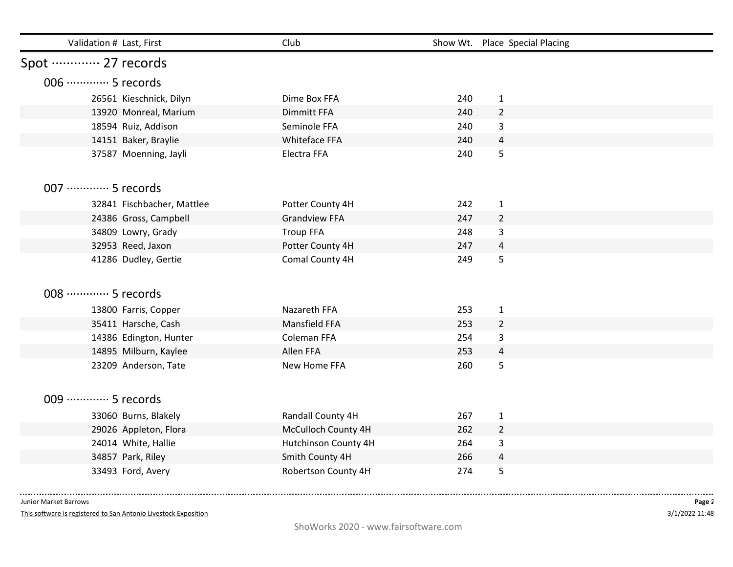| Validation # Last, First     | Club                 |     | Show Wt. Place Special Placing |
|------------------------------|----------------------|-----|--------------------------------|
| Spot  27 records             |                      |     |                                |
| 006 ·············· 5 records |                      |     |                                |
| 26561 Kieschnick, Dilyn      | Dime Box FFA         | 240 | $\mathbf{1}$                   |
| 13920 Monreal, Marium        | Dimmitt FFA          | 240 | $\overline{2}$                 |
| 18594 Ruiz, Addison          | Seminole FFA         | 240 | 3                              |
| 14151 Baker, Braylie         | Whiteface FFA        | 240 | 4                              |
| 37587 Moenning, Jayli        | Electra FFA          | 240 | 5                              |
| 007 ·············· 5 records |                      |     |                                |
| 32841 Fischbacher, Mattlee   | Potter County 4H     | 242 | $\mathbf{1}$                   |
| 24386 Gross, Campbell        | <b>Grandview FFA</b> | 247 | $\overline{2}$                 |
| 34809 Lowry, Grady           | <b>Troup FFA</b>     | 248 | 3                              |
| 32953 Reed, Jaxon            | Potter County 4H     | 247 | $\overline{4}$                 |
| 41286 Dudley, Gertie         | Comal County 4H      | 249 | 5                              |
| 008 ·············· 5 records |                      |     |                                |
| 13800 Farris, Copper         | Nazareth FFA         | 253 | $\mathbf{1}$                   |
| 35411 Harsche, Cash          | Mansfield FFA        | 253 | $\overline{2}$                 |
| 14386 Edington, Hunter       | Coleman FFA          | 254 | 3                              |
| 14895 Milburn, Kaylee        | Allen FFA            | 253 | 4                              |
| 23209 Anderson, Tate         | New Home FFA         | 260 | 5                              |
| 009 ·············· 5 records |                      |     |                                |
|                              |                      |     |                                |
| 33060 Burns, Blakely         | Randall County 4H    | 267 | $\mathbf 1$                    |
| 29026 Appleton, Flora        | McCulloch County 4H  | 262 | $\overline{2}$                 |
| 24014 White, Hallie          | Hutchinson County 4H | 264 | 3                              |
| 34857 Park, Riley            | Smith County 4H      | 266 | 4                              |
| 33493 Ford, Avery            | Robertson County 4H  | 274 | 5                              |

-------------------

 $\frac{1}{2}$ 

This software is registered to San Antonio Livestock Exposition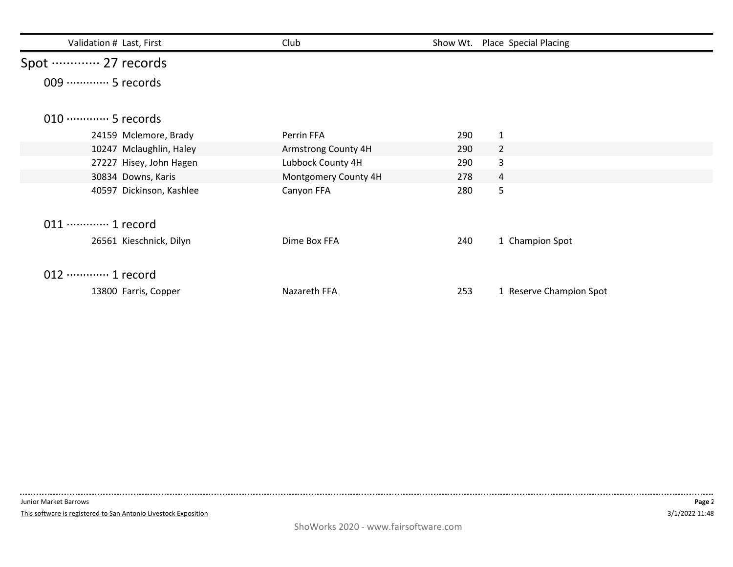| Validation # Last, First     | Club                 | Show Wt. Place Special Placing |  |
|------------------------------|----------------------|--------------------------------|--|
| Spot  27 records             |                      |                                |  |
| 009 ·············· 5 records |                      |                                |  |
| 010 ·············· 5 records |                      |                                |  |
| 24159 Mclemore, Brady        | Perrin FFA           | 1<br>290                       |  |
| 10247 Mclaughlin, Haley      | Armstrong County 4H  | $\overline{2}$<br>290          |  |
| 27227 Hisey, John Hagen      | Lubbock County 4H    | 3<br>290                       |  |
| 30834 Downs, Karis           | Montgomery County 4H | 4<br>278                       |  |
| 40597 Dickinson, Kashlee     | Canyon FFA           | 5<br>280                       |  |
| 011 ………… 1 record            |                      |                                |  |
| 26561 Kieschnick, Dilyn      | Dime Box FFA         | 1 Champion Spot<br>240         |  |
| 012 ············· 1 record   |                      |                                |  |
| 13800 Farris, Copper         | Nazareth FFA         | 253<br>1 Reserve Champion Spot |  |

----------------------------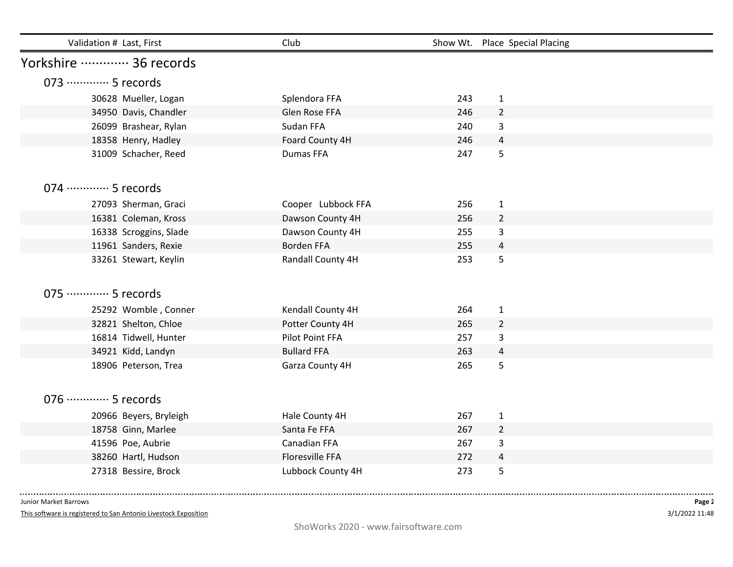| Validation # Last, First     | Club               |     |                | Show Wt. Place Special Placing |
|------------------------------|--------------------|-----|----------------|--------------------------------|
| Yorkshire ………… 36 records    |                    |     |                |                                |
| 073 ·············· 5 records |                    |     |                |                                |
| 30628 Mueller, Logan         | Splendora FFA      | 243 | $\mathbf{1}$   |                                |
| 34950 Davis, Chandler        | Glen Rose FFA      | 246 | $\overline{2}$ |                                |
| 26099 Brashear, Rylan        | Sudan FFA          | 240 | 3              |                                |
| 18358 Henry, Hadley          | Foard County 4H    | 246 | $\overline{4}$ |                                |
| 31009 Schacher, Reed         | Dumas FFA          | 247 | 5              |                                |
| 074 ………… 5 records           |                    |     |                |                                |
| 27093 Sherman, Graci         | Cooper Lubbock FFA | 256 | $\mathbf{1}$   |                                |
| 16381 Coleman, Kross         | Dawson County 4H   | 256 | $\overline{2}$ |                                |
| 16338 Scroggins, Slade       | Dawson County 4H   | 255 | 3              |                                |
| 11961 Sanders, Rexie         | <b>Borden FFA</b>  | 255 | $\overline{4}$ |                                |
| 33261 Stewart, Keylin        | Randall County 4H  | 253 | 5              |                                |
| 075 ············· 5 records  |                    |     |                |                                |
| 25292 Womble, Conner         | Kendall County 4H  | 264 | $\mathbf{1}$   |                                |
| 32821 Shelton, Chloe         | Potter County 4H   | 265 | $\overline{2}$ |                                |
| 16814 Tidwell, Hunter        | Pilot Point FFA    | 257 | 3              |                                |
| 34921 Kidd, Landyn           | <b>Bullard FFA</b> | 263 | 4              |                                |
| 18906 Peterson, Trea         | Garza County 4H    | 265 | 5              |                                |
| 076 ············· 5 records  |                    |     |                |                                |
|                              |                    |     |                |                                |
| 20966 Beyers, Bryleigh       | Hale County 4H     | 267 | $\mathbf 1$    |                                |
| 18758 Ginn, Marlee           | Santa Fe FFA       | 267 | $\overline{2}$ |                                |
| 41596 Poe, Aubrie            | Canadian FFA       | 267 | 3              |                                |
| 38260 Hartl, Hudson          | Floresville FFA    | 272 | $\overline{4}$ |                                |
| 27318 Bessire, Brock         | Lubbock County 4H  | 273 | 5              |                                |

-------------------

 $\frac{1}{2}$ 

This software is registered to San Antonio Livestock Exposition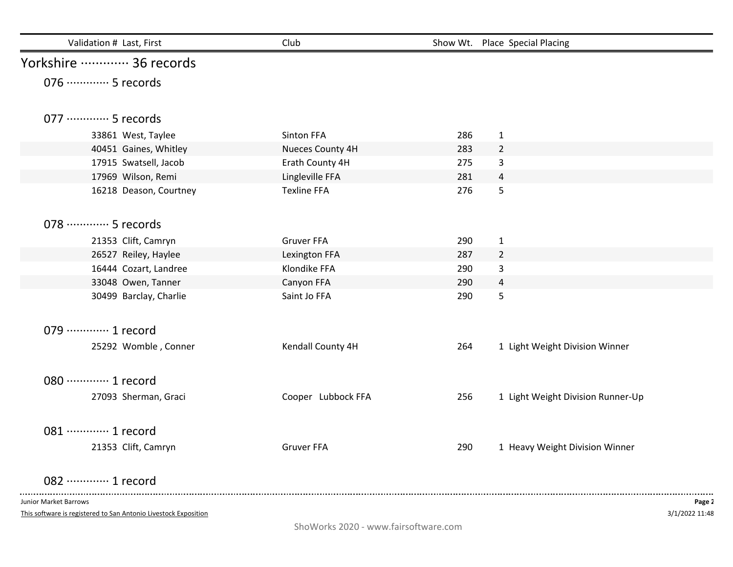| Validation # Last, First                                                                 | Club               |     | Show Wt. Place Special Placing    |                          |
|------------------------------------------------------------------------------------------|--------------------|-----|-----------------------------------|--------------------------|
| Yorkshire  36 records                                                                    |                    |     |                                   |                          |
| 076 ·············· 5 records                                                             |                    |     |                                   |                          |
| 077 ·············· 5 records                                                             |                    |     |                                   |                          |
| 33861 West, Taylee                                                                       | Sinton FFA         | 286 | $\mathbf{1}$                      |                          |
| 40451 Gaines, Whitley                                                                    | Nueces County 4H   | 283 | $\overline{2}$                    |                          |
| 17915 Swatsell, Jacob                                                                    | Erath County 4H    | 275 | 3                                 |                          |
| 17969 Wilson, Remi                                                                       | Lingleville FFA    | 281 | 4                                 |                          |
| 16218 Deason, Courtney                                                                   | <b>Texline FFA</b> | 276 | 5                                 |                          |
| 078 ·············· 5 records                                                             |                    |     |                                   |                          |
| 21353 Clift, Camryn                                                                      | <b>Gruver FFA</b>  | 290 | $\mathbf{1}$                      |                          |
| 26527 Reiley, Haylee                                                                     | Lexington FFA      | 287 | $\overline{2}$                    |                          |
| 16444 Cozart, Landree                                                                    | Klondike FFA       | 290 | 3                                 |                          |
| 33048 Owen, Tanner                                                                       | Canyon FFA         | 290 | $\overline{a}$                    |                          |
| 30499 Barclay, Charlie                                                                   | Saint Jo FFA       | 290 | 5                                 |                          |
| 079 ············· 1 record                                                               |                    |     |                                   |                          |
| 25292 Womble, Conner                                                                     | Kendall County 4H  | 264 | 1 Light Weight Division Winner    |                          |
| 080 ············· 1 record                                                               |                    |     |                                   |                          |
| 27093 Sherman, Graci                                                                     | Cooper Lubbock FFA | 256 | 1 Light Weight Division Runner-Up |                          |
| 081 ………… 1 record                                                                        |                    |     |                                   |                          |
| 21353 Clift, Camryn                                                                      | <b>Gruver FFA</b>  | 290 | 1 Heavy Weight Division Winner    |                          |
| 082 ………… 1 record                                                                        |                    |     |                                   |                          |
| Junior Market Barrows<br>This software is registered to San Antonio Livestock Exposition |                    |     |                                   | Page 2<br>3/1/2022 11:48 |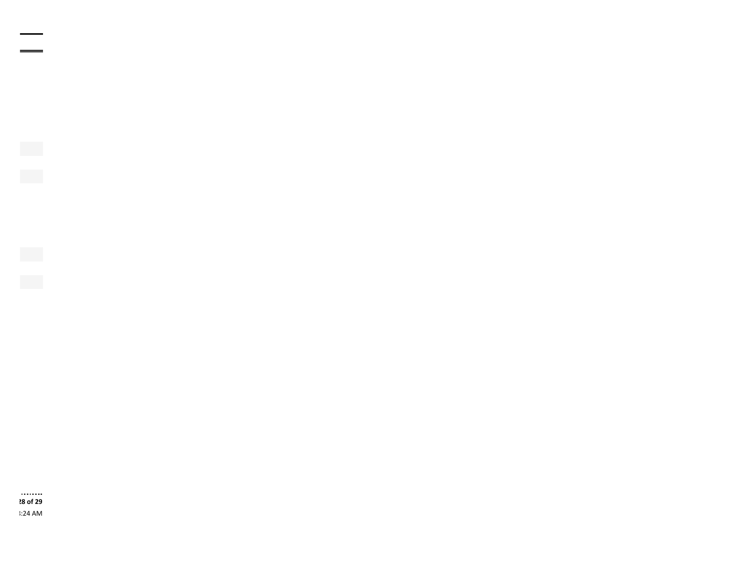$\sim$  . . . . . . . **Page 28 of 29**  $\frac{1}{24}$  AM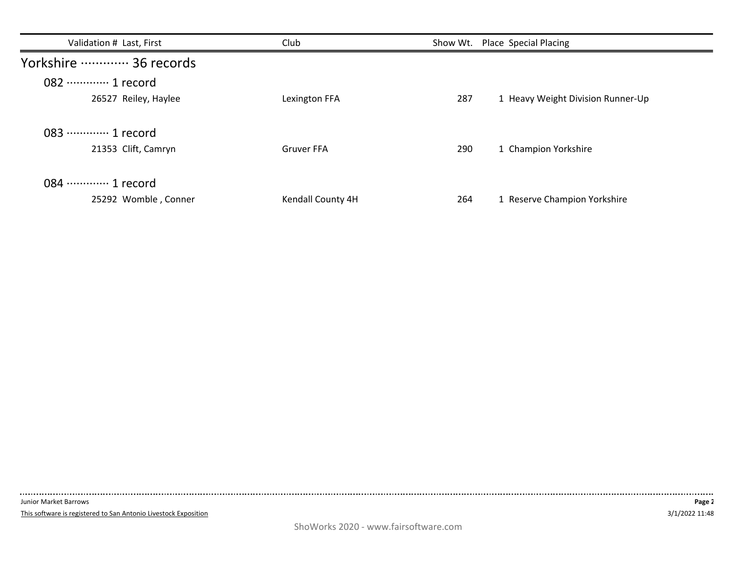| Validation # Last, First  | Club              | Show Wt. | Place Special Placing             |
|---------------------------|-------------------|----------|-----------------------------------|
| Yorkshire ………… 36 records |                   |          |                                   |
| 082 ………… 1 record         |                   |          |                                   |
| 26527 Reiley, Haylee      | Lexington FFA     | 287      | 1 Heavy Weight Division Runner-Up |
| 083 ………… 1 record         |                   |          |                                   |
| 21353 Clift, Camryn       | <b>Gruver FFA</b> | 290      | 1 Champion Yorkshire              |
| 084 ………… 1 record         |                   |          |                                   |
| 25292 Womble, Conner      | Kendall County 4H | 264      | 1 Reserve Champion Yorkshire      |

 $\begin{array}{cccccccccc} \multicolumn{2}{c}{} & \multicolumn{2}{c}{} & \multicolumn{2}{c}{} & \multicolumn{2}{c}{} & \multicolumn{2}{c}{} & \multicolumn{2}{c}{} & \multicolumn{2}{c}{} & \multicolumn{2}{c}{} & \multicolumn{2}{c}{} & \multicolumn{2}{c}{} & \multicolumn{2}{c}{} & \multicolumn{2}{c}{} & \multicolumn{2}{c}{} & \multicolumn{2}{c}{} & \multicolumn{2}{c}{} & \multicolumn{2}{c}{} & \multicolumn{2}{c}{} & \multicolumn{2}{c}{} & \multicolumn{2}{c}{} & \mult$ 

. . . . . . . . . . . . . . . . . . .